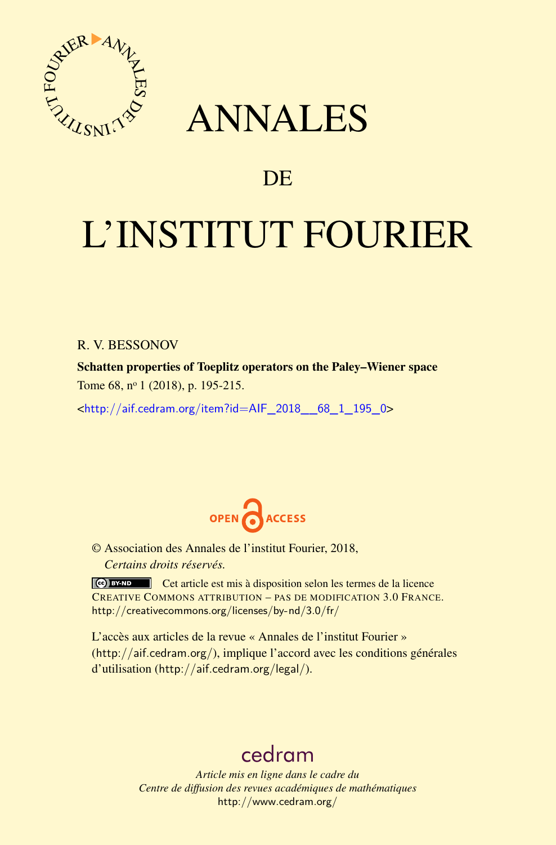

## ANNALES

### **DE**

# L'INSTITUT FOURIER

#### R. V. BESSONOV

Schatten properties of Toeplitz operators on the Paley–Wiener space Tome 68, nº 1 (2018), p. 195-215.

<[http://aif.cedram.org/item?id=AIF\\_2018\\_\\_68\\_1\\_195\\_0](http://aif.cedram.org/item?id=AIF_2018__68_1_195_0)>



© Association des Annales de l'institut Fourier, 2018, *Certains droits réservés.*

Cet article est mis à disposition selon les termes de la licence CREATIVE COMMONS ATTRIBUTION – PAS DE MODIFICATION 3.0 FRANCE. <http://creativecommons.org/licenses/by-nd/3.0/fr/>

L'accès aux articles de la revue « Annales de l'institut Fourier » (<http://aif.cedram.org/>), implique l'accord avec les conditions générales d'utilisation (<http://aif.cedram.org/legal/>).

## [cedram](http://www.cedram.org/)

*Article mis en ligne dans le cadre du Centre de diffusion des revues académiques de mathématiques* <http://www.cedram.org/>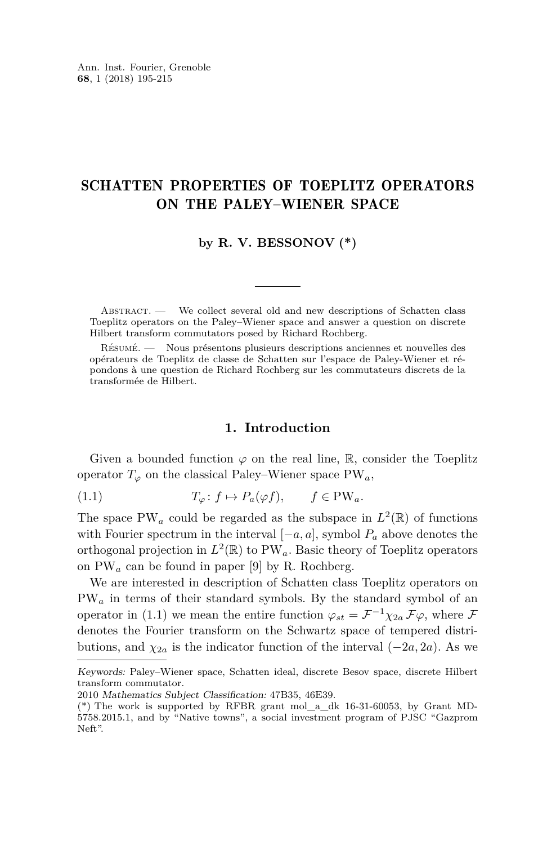#### SCHATTEN PROPERTIES OF TOEPLITZ OPERATORS ON THE PALEY–WIENER SPACE

**by R. V. BESSONOV (\*)**

ABSTRACT. — We collect several old and new descriptions of Schatten class Toeplitz operators on the Paley–Wiener space and answer a question on discrete Hilbert transform commutators posed by Richard Rochberg.

Résumé. — Nous présentons plusieurs descriptions anciennes et nouvelles des opérateurs de Toeplitz de classe de Schatten sur l'espace de Paley-Wiener et répondons à une question de Richard Rochberg sur les commutateurs discrets de la transformée de Hilbert.

#### <span id="page-1-0"></span>**1. Introduction**

<span id="page-1-1"></span>Given a bounded function  $\varphi$  on the real line, R, consider the Toeplitz operator  $T_{\varphi}$  on the classical Paley–Wiener space PW<sub>a</sub>,

(1.1)  $T_{\varphi} : f \mapsto P_a(\varphi f), \quad f \in PW_a.$ 

The space PW<sub>a</sub> could be regarded as the subspace in  $L^2(\mathbb{R})$  of functions with Fourier spectrum in the interval [−*a, a*], symbol *P<sup>a</sup>* above denotes the orthogonal projection in  $L^2(\mathbb{R})$  to PW<sub>a</sub>. Basic theory of Toeplitz operators on PW*<sup>a</sup>* can be found in paper [\[9\]](#page-21-0) by R. Rochberg.

We are interested in description of Schatten class Toeplitz operators on PW*<sup>a</sup>* in terms of their standard symbols. By the standard symbol of an operator in [\(1.1\)](#page-1-0) we mean the entire function  $\varphi_{st} = \mathcal{F}^{-1} \chi_{2a} \mathcal{F} \varphi$ , where  $\mathcal{F}$ denotes the Fourier transform on the Schwartz space of tempered distributions, and  $\chi_{2a}$  is the indicator function of the interval  $(-2a, 2a)$ . As we

Keywords: Paley–Wiener space, Schatten ideal, discrete Besov space, discrete Hilbert transform commutator.

<sup>2010</sup> Mathematics Subject Classification: 47B35, 46E39.

<sup>(\*)</sup> The work is supported by RFBR grant mol\_a\_dk 16-31-60053, by Grant MD-5758.2015.1, and by "Native towns", a social investment program of PJSC "Gazprom Neft".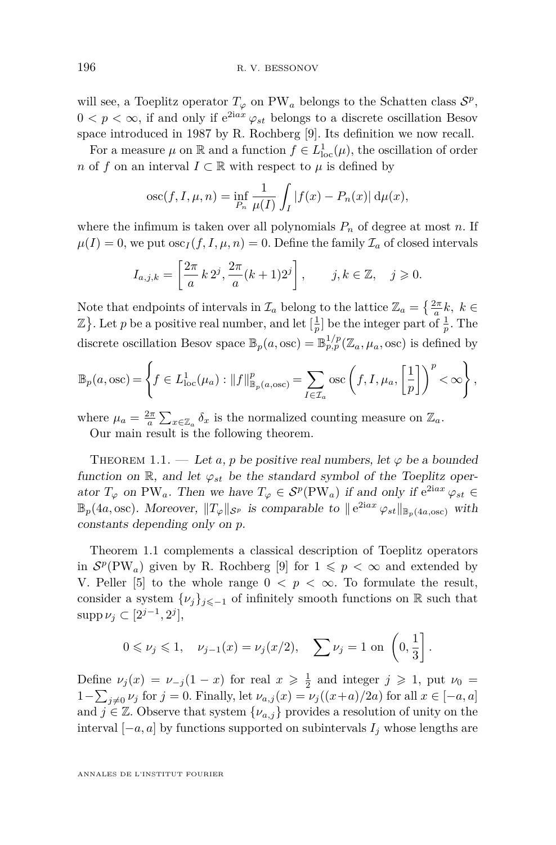will see, a Toeplitz operator  $T_{\varphi}$  on PW<sub>a</sub> belongs to the Schatten class  $S^p$ ,  $0 < p < \infty$ , if and only if  $e^{2iax} \varphi_{st}$  belongs to a discrete oscillation Besov space introduced in 1987 by R. Rochberg [\[9\]](#page-21-0). Its definition we now recall.

For a measure  $\mu$  on  $\mathbb R$  and a function  $f \in L^1_{loc}(\mu)$ , the oscillation of order *n* of *f* on an interval  $I \subset \mathbb{R}$  with respect to  $\mu$  is defined by

$$
osc(f, I, \mu, n) = \inf_{P_n} \frac{1}{\mu(I)} \int_I |f(x) - P_n(x)| d\mu(x),
$$

where the infimum is taken over all polynomials  $P_n$  of degree at most  $n$ . If  $\mu(I) = 0$ , we put  $\csc(I, I, \mu, n) = 0$ . Define the family  $\mathcal{I}_a$  of closed intervals

$$
I_{a,j,k} = \left[\frac{2\pi}{a} \, k \, 2^j, \frac{2\pi}{a} (k+1) 2^j\right], \qquad j,k \in \mathbb{Z}, \quad j \geq 0.
$$

Note that endpoints of intervals in  $\mathcal{I}_a$  belong to the lattice  $\mathbb{Z}_a = \left\{ \frac{2\pi}{a} k, \ k \in \mathbb{Z}_a \right\}$  $\mathbb{Z}$ . Let *p* be a positive real number, and let  $\left[\frac{1}{p}\right]$  be the integer part of  $\frac{1}{p}$ . The discrete oscillation Besov space  $\mathbb{B}_p(a,\text{osc}) = \mathbb{B}_{p,p}^{1/p}(\mathbb{Z}_a,\mu_a,\text{osc})$  is defined by

$$
\mathbb{B}_p(a, \text{osc}) = \left\{ f \in L^1_{\text{loc}}(\mu_a) : ||f||^p_{\mathbb{B}_p(a, \text{osc})} = \sum_{I \in \mathcal{I}_a} \text{osc}\left(f, I, \mu_a, \left[\frac{1}{p}\right]\right)^p < \infty \right\},
$$

where  $\mu_a = \frac{2\pi}{a} \sum_{x \in \mathbb{Z}_a} \delta_x$  is the normalized counting measure on  $\mathbb{Z}_a$ .

Our main result is the following theorem.

<span id="page-2-0"></span>THEOREM 1.1. — Let *a*, *p* be positive real numbers, let  $\varphi$  be a bounded function on  $\mathbb{R}$ , and let  $\varphi_{st}$  be the standard symbol of the Toeplitz operator  $T_{\varphi}$  on PW<sub>a</sub>. Then we have  $T_{\varphi} \in S^p(\text{PW}_a)$  if and only if  $e^{2iax} \varphi_{st} \in$  $\mathbb{B}_p(4a, \text{osc})$ . Moreover,  $||T_\varphi||_{\mathcal{S}^p}$  is comparable to  $||e^{2iax}\varphi_{st}||_{\mathbb{B}_p(4a,\text{osc})}$  with constants depending only on *p*.

Theorem [1.1](#page-2-0) complements a classical description of Toeplitz operators in  $S^p(PW_a)$  given by R. Rochberg [\[9\]](#page-21-0) for  $1 \leq p < \infty$  and extended by V. Peller [\[5\]](#page-21-1) to the whole range  $0 < p < \infty$ . To formulate the result, consider a system  $\{\nu_j\}_{j\leq -1}$  of infinitely smooth functions on R such that  $\sup p \nu_j \subset [2^{j-1}, 2^j],$ 

$$
0 \le \nu_j \le 1
$$
,  $\nu_{j-1}(x) = \nu_j(x/2)$ ,  $\sum \nu_j = 1$  on  $\left(0, \frac{1}{3}\right]$ .

Define  $\nu_j(x) = \nu_{-j}(1-x)$  for real  $x \geqslant \frac{1}{2}$  and integer  $j \geqslant 1$ , put  $\nu_0 =$ *j* −  $\sum_{j\neq 0}$  *ν*<sup>*j*</sup> for *j* = 0. Finally, let *ν*<sub>*a*,*j*</sub>(*x*) = *ν*<sub>*j*</sub>((*x*+*a*)/2*a*) for all *x* ∈ [−*a*, *a*] and  $j \in \mathbb{Z}$ . Observe that system  $\{\nu_{a,j}\}$  provides a resolution of unity on the interval  $[-a, a]$  by functions supported on subintervals  $I_j$  whose lengths are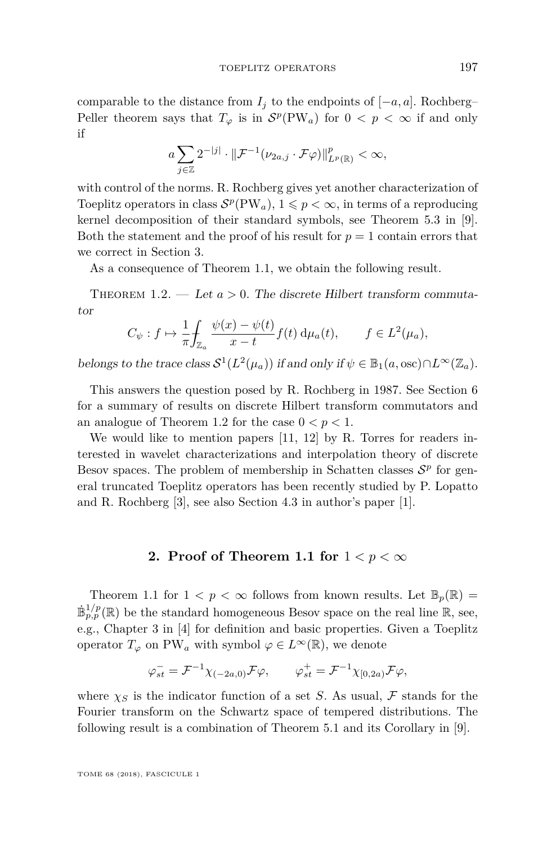comparable to the distance from  $I_j$  to the endpoints of  $[-a, a]$ . Rochberg– Peller theorem says that  $T_{\varphi}$  is in  $S^p(PW_a)$  for  $0 < p < \infty$  if and only if

$$
a\sum_{j\in\mathbb{Z}}2^{-|j|}\cdot\|\mathcal{F}^{-1}(\nu_{2a,j}\cdot\mathcal{F}\varphi)\|_{L^p(\mathbb{R})}^p<\infty,
$$

with control of the norms. R. Rochberg gives yet another characterization of Toeplitz operators in class  $S^p(PW_a)$ ,  $1 \leq p < \infty$ , in terms of a reproducing kernel decomposition of their standard symbols, see Theorem 5.3 in [\[9\]](#page-21-0). Both the statement and the proof of his result for  $p = 1$  contain errors that we correct in Section [3.](#page-4-0)

As a consequence of Theorem [1.1,](#page-2-0) we obtain the following result.

<span id="page-3-0"></span>THEOREM 1.2. — Let  $a > 0$ . The discrete Hilbert transform commutator

$$
C_{\psi}: f \mapsto \frac{1}{\pi} \int_{\mathbb{Z}_a} \frac{\psi(x) - \psi(t)}{x - t} f(t) \, \mathrm{d}\mu_a(t), \qquad f \in L^2(\mu_a),
$$

belongs to the trace class  $S^1(L^2(\mu_a))$  if and only if  $\psi \in \mathbb{B}_1(a, \text{osc}) \cap L^{\infty}(\mathbb{Z}_a)$ .

This answers the question posed by R. Rochberg in 1987. See Section [6](#page-15-0) for a summary of results on discrete Hilbert transform commutators and an analogue of Theorem [1.2](#page-3-0) for the case  $0 < p < 1$ .

We would like to mention papers [\[11,](#page-21-2) [12\]](#page-21-3) by R. Torres for readers interested in wavelet characterizations and interpolation theory of discrete Besov spaces. The problem of membership in Schatten classes  $S<sup>p</sup>$  for general truncated Toeplitz operators has been recently studied by P. Lopatto and R. Rochberg [\[3\]](#page-21-4), see also Section 4.3 in author's paper [\[1\]](#page-20-0).

#### **2. Proof of Theorem 1.1 for** 1 *< p <* ∞

Theorem [1.1](#page-2-0) for  $1 < p < \infty$  follows from known results. Let  $\mathbb{B}_p(\mathbb{R}) =$  $\dot{\mathbb{B}}_{p,p}^{1/p}(\mathbb{R})$  be the standard homogeneous Besov space on the real line  $\mathbb{R}$ , see, e.g., Chapter 3 in [\[4\]](#page-21-5) for definition and basic properties. Given a Toeplitz operator  $T_{\varphi}$  on PW<sub>a</sub> with symbol  $\varphi \in L^{\infty}(\mathbb{R})$ , we denote

$$
\varphi_{st}^- = \mathcal{F}^{-1} \chi_{(-2a,0)} \mathcal{F} \varphi, \qquad \varphi_{st}^+ = \mathcal{F}^{-1} \chi_{[0,2a)} \mathcal{F} \varphi,
$$

where  $\chi_S$  is the indicator function of a set *S*. As usual, F stands for the Fourier transform on the Schwartz space of tempered distributions. The following result is a combination of Theorem 5.1 and its Corollary in [\[9\]](#page-21-0).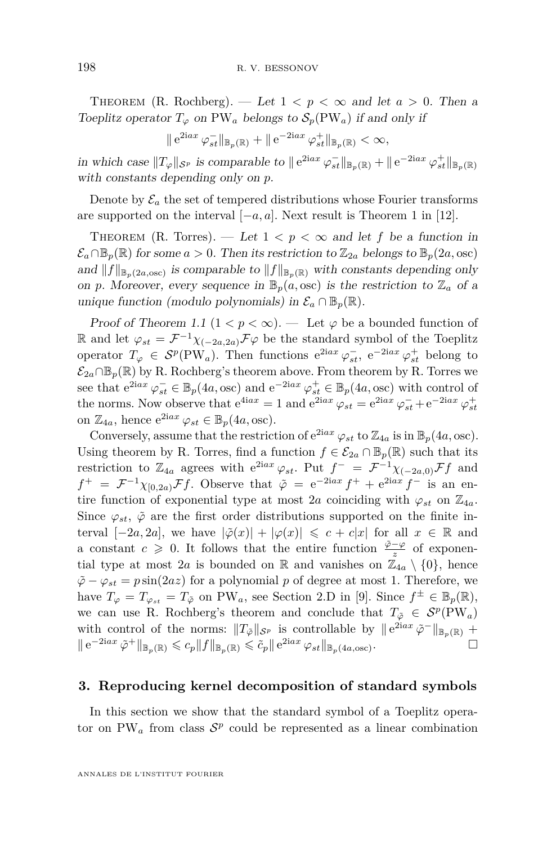THEOREM (R. Rochberg). — Let  $1 < p < \infty$  and let  $a > 0$ . Then a Toeplitz operator  $T_{\varphi}$  on PW<sub>a</sub> belongs to  $\mathcal{S}_p(PW_a)$  if and only if

$$
\|e^{2iax}\varphi_{st}^- \|_{\mathbb{B}_p(\mathbb{R})} + \|e^{-2iax}\varphi_{st}^+ \|_{\mathbb{B}_p(\mathbb{R})} < \infty,
$$

in which case  $||T_{\varphi}||_{\mathcal{S}^p}$  is comparable to  $||e^{2iax} \varphi_{st}^-||_{\mathbb{B}_p(\mathbb{R})} + ||e^{-2iax} \varphi_{st}^+||_{\mathbb{B}_p(\mathbb{R})}$ with constants depending only on *p*.

Denote by  $\mathcal{E}_a$  the set of tempered distributions whose Fourier transforms are supported on the interval  $[-a, a]$ . Next result is Theorem 1 in [\[12\]](#page-21-3).

THEOREM (R. Torres). — Let  $1 < p < \infty$  and let f be a function in  $\mathcal{E}_a \cap \mathbb{B}_p(\mathbb{R})$  for some  $a > 0$ . Then its restriction to  $\mathbb{Z}_{2a}$  belongs to  $\mathbb{B}_p(2a, \text{osc})$ and  $||f||_{\mathbb{B}_p(2a,\text{osc})}$  is comparable to  $||f||_{\mathbb{B}_p(\mathbb{R})}$  with constants depending only on *p*. Moreover, every sequence in  $\mathbb{B}_p(a,\text{osc})$  is the restriction to  $\mathbb{Z}_a$  of a unique function (modulo polynomials) in  $\mathcal{E}_a \cap \mathbb{B}_p(\mathbb{R})$ .

Proof of Theorem [1.1](#page-2-0)  $(1 < p < \infty)$ . — Let  $\varphi$  be a bounded function of R and let  $\varphi_{st} = \mathcal{F}^{-1}\chi_{(-2a,2a)}\mathcal{F}\varphi$  be the standard symbol of the Toeplitz operator  $T_{\varphi} \in S^p(PW_a)$ . Then functions  $e^{2iax} \varphi_{st}^-$ ,  $e^{-2iax} \varphi_{st}^+$  belong to  $\mathcal{E}_{2a} \cap \mathbb{B}_p(\mathbb{R})$  by R. Rochberg's theorem above. From theorem by R. Torres we see that  $e^{2iax} \varphi_{st}^- \in \mathbb{B}_p(4a, \text{osc})$  and  $e^{-2iax} \varphi_{st}^+ \in \mathbb{B}_p(4a, \text{osc})$  with control of the norms. Now observe that  $e^{4iax} = 1$  and  $e^{2iax} \varphi_{st} = e^{2iax} \varphi_{st}^{-} + e^{-2iax} \varphi_{st}^{+}$ on  $\mathbb{Z}_{4a}$ , hence  $e^{2iax} \varphi_{st} \in \mathbb{B}_p(4a, \text{osc}).$ 

Conversely, assume that the restriction of  $e^{2iax} \varphi_{st}$  to  $\mathbb{Z}_{4a}$  is in  $\mathbb{B}_p(4a, \text{osc})$ . Using theorem by R. Torres, find a function  $f \in \mathcal{E}_{2a} \cap \mathbb{B}_p(\mathbb{R})$  such that its restriction to  $\mathbb{Z}_{4a}$  agrees with  $e^{2iax}\varphi_{st}$ . Put  $f^{-} = \mathcal{F}^{-1}\chi_{(-2a,0)}\mathcal{F}f$  and  $f^+ = \mathcal{F}^{-1} \chi_{[0,2a)} \mathcal{F} f$ . Observe that  $\tilde{\varphi} = e^{-2iax} f^+ + e^{2iax} f^-$  is an entire function of exponential type at most 2*a* coinciding with  $\varphi_{st}$  on  $\mathbb{Z}_{4a}$ . Since  $\varphi_{st}$ ,  $\tilde{\varphi}$  are the first order distributions supported on the finite interval  $[-2a, 2a]$ , we have  $|\tilde{\varphi}(x)| + |\varphi(x)| \leq c + c|x|$  for all  $x \in \mathbb{R}$  and a constant  $c \geq 0$ . It follows that the entire function  $\frac{\tilde{\varphi} - \varphi}{z}$  of exponential type at most 2*a* is bounded on R and vanishes on  $\mathbb{Z}_{4a} \setminus \{0\}$ , hence  $\tilde{\varphi} - \varphi_{st} = p \sin(2az)$  for a polynomial *p* of degree at most 1. Therefore, we have  $T_{\varphi} = T_{\varphi_{st}} = T_{\tilde{\varphi}}$  on PW<sub>a</sub>, see Section 2.D in [\[9\]](#page-21-0). Since  $f^{\pm} \in \mathbb{B}_p(\mathbb{R})$ , we can use R. Rochberg's theorem and conclude that  $T_{\tilde{\varphi}} \in \mathcal{S}^p(\text{PW}_a)$ with control of the norms:  $||T_{\tilde{\varphi}}||_{S^p}$  is controllable by  $||e^{2iax}\tilde{\varphi}^{-}||_{\mathbb{B}_p(\mathbb{R})}$  +  $\|e^{-2iax} \tilde{\varphi}^+\|_{\mathbb{B}_p(\mathbb{R})} \leqslant c_p \|f\|_{\mathbb{B}_p(\mathbb{R})} \leqslant \tilde{c}_p \|e^{2iax} \varphi_{st}\|_{\mathbb{B}_p(4a,\text{osc})}.$ 

#### <span id="page-4-0"></span>**3. Reproducing kernel decomposition of standard symbols**

In this section we show that the standard symbol of a Toeplitz operator on PW<sub>a</sub> from class  $S^p$  could be represented as a linear combination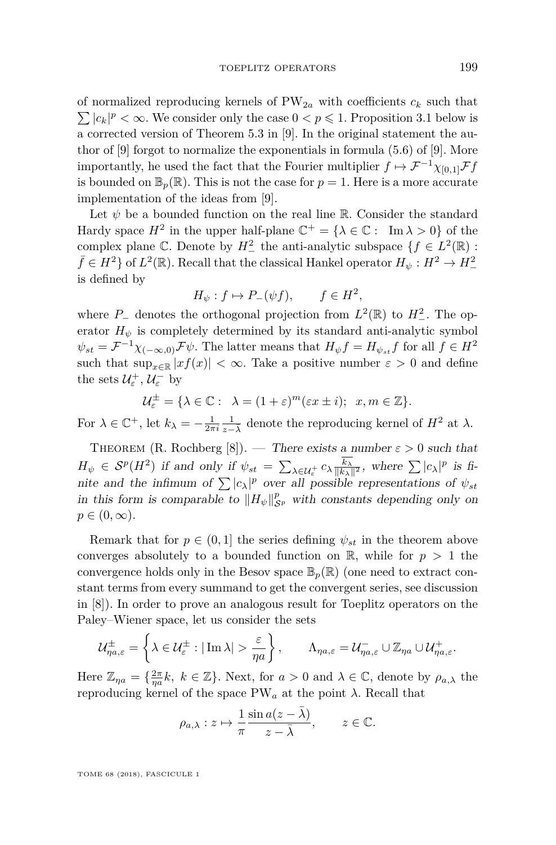of normalized reproducing kernels of  $PW_{2a}$  with coefficients  $c_k$  such that  $\sum |c_k|^p < \infty$ . We consider only the case  $0 < p \leq 1$ . Proposition [3.1](#page-6-0) below is a corrected version of Theorem 5.3 in [\[9\]](#page-21-0). In the original statement the author of [\[9\]](#page-21-0) forgot to normalize the exponentials in formula (5*.*6) of [\[9\]](#page-21-0). More importantly, he used the fact that the Fourier multiplier  $f \mapsto \mathcal{F}^{-1} \chi_{[0,1]} \mathcal{F} f$ is bounded on  $\mathbb{B}_p(\mathbb{R})$ . This is not the case for  $p=1$ . Here is a more accurate implementation of the ideas from [\[9\]](#page-21-0).

Let  $\psi$  be a bounded function on the real line R. Consider the standard Hardy space  $H^2$  in the upper half-plane  $\mathbb{C}^+ = {\lambda \in \mathbb{C} : \Im \lambda > 0}$  of the complex plane  $\mathbb{C}$ . Denote by  $H^2_-$  the anti-analytic subspace  $\{f \in L^2(\mathbb{R}) :$  $\bar{f} \in H^2$  of  $L^2(\mathbb{R})$ . Recall that the classical Hankel operator  $H_{\psi}: H^2 \to H^2_{-}$ is defined by

$$
H_{\psi}: f \mapsto P_{-}(\psi f), \qquad f \in H^{2},
$$

where  $P_-\$  denotes the orthogonal projection from  $L^2(\mathbb{R})$  to  $H^2_-\$ . The operator  $H_{\psi}$  is completely determined by its standard anti-analytic symbol  $\psi_{st} = \mathcal{F}^{-1}\chi_{(-\infty,0)}\mathcal{F}\psi$ . The latter means that  $H_{\psi}f = H_{\psi_{st}}f$  for all  $f \in H^2$ such that  $\sup_{x \in \mathbb{R}} |xf(x)| < \infty$ . Take a positive number  $\varepsilon > 0$  and define the sets  $\mathcal{U}_{\varepsilon}^{+}$ ,  $\mathcal{U}_{\varepsilon}^{-}$  by

$$
\mathcal{U}_{\varepsilon}^{\pm} = \{ \lambda \in \mathbb{C} : \ \lambda = (1 + \varepsilon)^m (\varepsilon x \pm i); \ x, m \in \mathbb{Z} \}.
$$

For  $\lambda \in \mathbb{C}^+$ , let  $k_{\lambda} = -\frac{1}{2\pi i} \frac{1}{z-\lambda}$  denote the reproducing kernel of  $H^2$  at  $\lambda$ .

THEOREM (R. Rochberg [\[8\]](#page-21-6)). — There exists a number  $\varepsilon > 0$  such that  $H_{\psi} \in S^p(H^2)$  if and only if  $\psi_{st} = \sum_{\lambda \in \mathcal{U}_{\varepsilon}^+} c_{\lambda} \frac{k_{\lambda}}{\|k_{\lambda}\|^2}$ , where  $\sum |c_{\lambda}|^p$  is finite and the infimum of  $\sum |c_{\lambda}|^p$  over all possible representations of  $\psi_{st}$ in this form is comparable to  $||H_{\psi}||_{\mathcal{S}^p}^p$  with constants depending only on  $p \in (0, \infty)$ .

Remark that for  $p \in (0,1]$  the series defining  $\psi_{st}$  in the theorem above converges absolutely to a bounded function on  $\mathbb{R}$ , while for  $p > 1$  the convergence holds only in the Besov space  $\mathbb{B}_p(\mathbb{R})$  (one need to extract constant terms from every summand to get the convergent series, see discussion in [\[8\]](#page-21-6)). In order to prove an analogous result for Toeplitz operators on the Paley–Wiener space, let us consider the sets

$$
\mathcal{U}_{\eta a,\varepsilon}^{\pm} = \left\{ \lambda \in \mathcal{U}_{\varepsilon}^{\pm} : |\operatorname{Im} \lambda| > \frac{\varepsilon}{\eta a} \right\}, \qquad \Lambda_{\eta a,\varepsilon} = \mathcal{U}_{\eta a,\varepsilon}^{-} \cup \mathbb{Z}_{\eta a} \cup \mathcal{U}_{\eta a,\varepsilon}^{+}.
$$

Here  $\mathbb{Z}_{\eta a} = \{\frac{2\pi}{\eta a}k, k \in \mathbb{Z}\}$ . Next, for  $a > 0$  and  $\lambda \in \mathbb{C}$ , denote by  $\rho_{a,\lambda}$  the reproducing kernel of the space PW*<sup>a</sup>* at the point *λ*. Recall that

$$
\rho_{a,\lambda}:z\mapsto \frac{1}{\pi}\frac{\sin a(z-\bar\lambda)}{z-\bar\lambda},\qquad z\in\mathbb{C}.
$$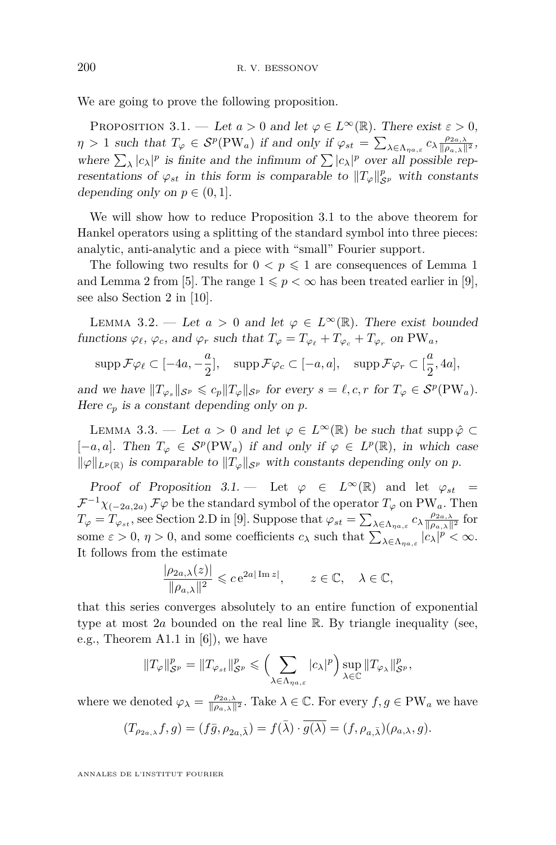We are going to prove the following proposition.

<span id="page-6-0"></span>PROPOSITION 3.1. — Let  $a > 0$  and let  $\varphi \in L^{\infty}(\mathbb{R})$ . There exist  $\varepsilon > 0$ ,  $\eta > 1$  such that  $T_{\varphi} \in S^p(PW_a)$  if and only if  $\varphi_{st} = \sum_{\lambda \in \Lambda_{\eta_a,\varepsilon}} c_{\lambda} \frac{\rho_{2a,\lambda}}{\|\rho_{a,\lambda}\|^2}$ , where  $\sum_{\lambda} |c_{\lambda}|^p$  is finite and the infimum of  $\sum |c_{\lambda}|^p$  over all possible representations of  $\varphi_{st}$  in this form is comparable to  $||T_{\varphi}||_{\mathcal{S}^p}^p$  with constants depending only on  $p \in (0,1]$ .

We will show how to reduce Proposition [3.1](#page-6-0) to the above theorem for Hankel operators using a splitting of the standard symbol into three pieces: analytic, anti-analytic and a piece with "small" Fourier support.

The following two results for  $0 < p \leq 1$  are consequences of Lemma 1 and Lemma 2 from [\[5\]](#page-21-1). The range  $1 \leq p < \infty$  has been treated earlier in [\[9\]](#page-21-0), see also Section 2 in [\[10\]](#page-21-7).

<span id="page-6-1"></span>LEMMA 3.2. — Let  $a > 0$  and let  $\varphi \in L^{\infty}(\mathbb{R})$ . There exist bounded functions  $\varphi_{\ell}, \varphi_{c}$ , and  $\varphi_{r}$  such that  $T_{\varphi} = T_{\varphi_{\ell}} + T_{\varphi_{c}} + T_{\varphi_{r}}$  on PW<sub>a</sub>,

$$
\operatorname{supp} \mathcal{F} \varphi_{\ell} \subset [-4a, -\frac{a}{2}], \quad \operatorname{supp} \mathcal{F} \varphi_c \subset [-a, a], \quad \operatorname{supp} \mathcal{F} \varphi_r \subset [\frac{a}{2}, 4a],
$$

and we have  $||T_{\varphi_s}||_{\mathcal{S}^p} \leqslant c_p ||T_{\varphi}||_{\mathcal{S}^p}$  for every  $s = \ell, c, r$  for  $T_{\varphi} \in \mathcal{S}^p(\text{PW}_a)$ . Here  $c_p$  is a constant depending only on  $p$ .

<span id="page-6-2"></span>LEMMA 3.3. — Let  $a > 0$  and let  $\varphi \in L^{\infty}(\mathbb{R})$  be such that supp  $\hat{\varphi} \subset$ [-*a, a*]. Then  $T_\varphi$  ∈  $S^p(PW_a)$  if and only if  $\varphi$  ∈  $L^p(\mathbb{R})$ , in which case  $\|\varphi\|_{L^p(\mathbb{R})}$  is comparable to  $\|T_{\varphi}\|_{\mathcal{S}^p}$  with constants depending only on p.

Proof of Proposition [3.1.](#page-6-0) — Let  $\varphi \in L^{\infty}(\mathbb{R})$  and let  $\varphi_{st} =$  $\mathcal{F}^{-1}\chi_{(-2a,2a)}\mathcal{F}\varphi$  be the standard symbol of the operator  $T_{\varphi}$  on PW<sub>a</sub>. Then  $T_{\varphi} = T_{\varphi_{st}}$ , see Section 2.D in [\[9\]](#page-21-0). Suppose that  $\varphi_{st} = \sum_{\lambda \in \Lambda_{\eta a,s}} c_{\lambda} \frac{\rho_{2a,\lambda}}{\|\rho_{a,\lambda}\|^2}$  for some  $\varepsilon > 0$ ,  $\eta > 0$ , and some coefficients  $c_{\lambda}$  such that  $\sum_{\lambda \in \Lambda_{\eta a, \varepsilon}} |c_{\lambda}|^p < \infty$ . It follows from the estimate

$$
\frac{|\rho_{2a,\lambda}(z)|}{\|\rho_{a,\lambda}\|^2} \leqslant c \,\mathrm{e}^{2a|\operatorname{Im} z|}, \qquad z \in \mathbb{C}, \quad \lambda \in \mathbb{C},
$$

that this series converges absolutely to an entire function of exponential type at most 2*a* bounded on the real line R. By triangle inequality (see, e.g., Theorem A1.1 in [\[6\]](#page-21-8)), we have

$$
||T_{\varphi}||_{\mathcal{S}^p}^p = ||T_{\varphi_{st}}||_{\mathcal{S}^p}^p \leqslant \left(\sum_{\lambda \in \Lambda_{\eta a,\varepsilon}} |c_{\lambda}|^p\right) \sup_{\lambda \in \mathbb{C}} ||T_{\varphi_{\lambda}}||_{\mathcal{S}^p}^p,
$$

where we denoted  $\varphi_{\lambda} = \frac{\rho_{2a,\lambda}}{\|\rho_{a,\lambda}\|^2}$ . Take  $\lambda \in \mathbb{C}$ . For every  $f, g \in PW_a$  we have

$$
(T_{\rho_{2a,\lambda}}f,g)=(f\bar{g},\rho_{2a,\bar{\lambda}})=f(\bar{\lambda})\cdot\overline{g(\lambda)}=(f,\rho_{a,\bar{\lambda}})(\rho_{a,\lambda},g).
$$

ANNALES DE L'INSTITUT FOURIER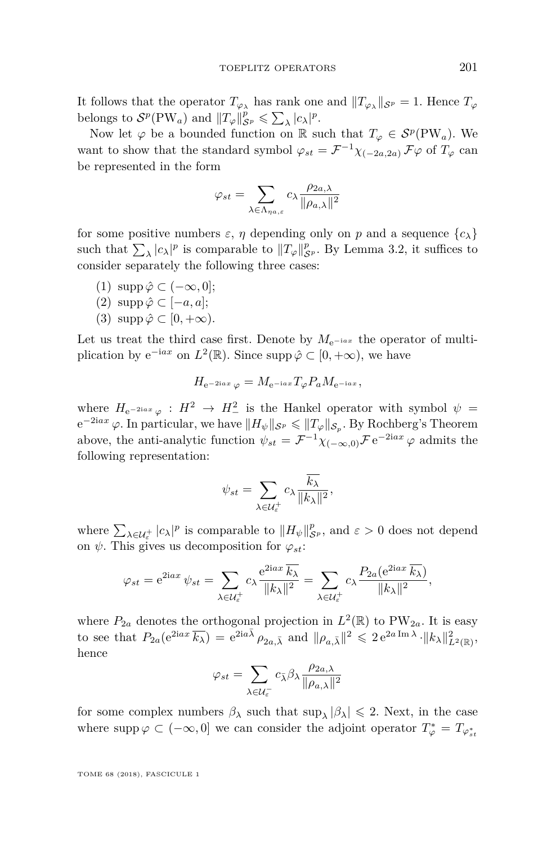It follows that the operator  $T_{\varphi_{\lambda}}$  has rank one and  $||T_{\varphi_{\lambda}}||_{\mathcal{S}^p} = 1$ . Hence  $T_{\varphi}$ belongs to  $S^p(PW_a)$  and  $||T_\varphi||_{S^p}^p \leq \sum_{\lambda} |c_{\lambda}|^p$ .

Now let  $\varphi$  be a bounded function on R such that  $T_{\varphi} \in \mathcal{S}^p(\text{PW}_a)$ . We want to show that the standard symbol  $\varphi_{st} = \mathcal{F}^{-1} \chi_{(-2a,2a)} \mathcal{F} \varphi$  of  $T_{\varphi}$  can be represented in the form

$$
\varphi_{st} = \sum_{\lambda \in \Lambda_{\eta a,\varepsilon}} c_{\lambda} \frac{\rho_{2a,\lambda}}{\|\rho_{a,\lambda}\|^2}
$$

for some positive numbers  $\varepsilon$ ,  $\eta$  depending only on  $p$  and a sequence  $\{c_{\lambda}\}\$ such that  $\sum_{\lambda} |c_{\lambda}|^p$  is comparable to  $||T_{\varphi}||_{\mathcal{S}^p}^p$ . By Lemma [3.2,](#page-6-1) it suffices to consider separately the following three cases:

- (1) supp  $\hat{\varphi}$  ⊂ ( $-\infty, 0$ );
- $(2)$  supp  $\hat{\varphi}$  ⊂ [−*a*, *a*];
- $(3)$  supp  $\hat{\varphi} \subset [0, +\infty)$ .

Let us treat the third case first. Denote by  $M_{e^{-iax}}$  the operator of multiplication by  $e^{-iax}$  on  $L^2(\mathbb{R})$ . Since supp  $\hat{\varphi} \subset [0, +\infty)$ , we have

$$
H_{\mathrm{e}^{-2iax}}\varphi = M_{\mathrm{e}^{-iax}}T_{\varphi}P_aM_{\mathrm{e}^{-iax}},
$$

where  $H_{e^{-2iax} \varphi}: H^2 \to H^2_-$  is the Hankel operator with symbol  $\psi =$  $e^{-2iax} \varphi$ . In particular, we have  $||H_{\psi}||_{\mathcal{S}^p} \le ||T_{\varphi}||_{\mathcal{S}_p}$ . By Rochberg's Theorem above, the anti-analytic function  $\psi_{st} = \mathcal{F}^{-1} \chi_{(-\infty,0)} \mathcal{F} e^{-2iax} \varphi$  admits the following representation:

$$
\psi_{st} = \sum_{\lambda \in \mathcal{U}_{\varepsilon}^+} c_{\lambda} \frac{\overline{k_{\lambda}}}{\|k_{\lambda}\|^2},
$$

where  $\sum_{\lambda \in \mathcal{U}_{\varepsilon}^+} |c_{\lambda}|^p$  is comparable to  $||H_{\psi}||_{\mathcal{S}^p}^p$ , and  $\varepsilon > 0$  does not depend on  $\psi$ . This gives us decomposition for  $\varphi_{st}$ :

$$
\varphi_{st} = e^{2iax} \psi_{st} = \sum_{\lambda \in \mathcal{U}_{\varepsilon}^+} c_{\lambda} \frac{e^{2iax} \overline{k_{\lambda}}}{\|k_{\lambda}\|^2} = \sum_{\lambda \in \mathcal{U}_{\varepsilon}^+} c_{\lambda} \frac{P_{2a}(e^{2iax} \overline{k_{\lambda}})}{\|k_{\lambda}\|^2},
$$

where  $P_{2a}$  denotes the orthogonal projection in  $L^2(\mathbb{R})$  to PW<sub>2*a*</sub>. It is easy to see that  $P_{2a}(e^{2iax}\overline{k_{\lambda}}) = e^{2ia\overline{\lambda}}\rho_{2a,\overline{\lambda}}$  and  $\|\rho_{a,\overline{\lambda}}\|^2 \leqslant 2 e^{2a\operatorname{Im}\lambda} \cdot \|k_{\lambda}\|^2_{L^2(\mathbb{R})}$ , hence

$$
\varphi_{st} = \sum_{\lambda \in \mathcal{U}_\varepsilon^{-}} c_{\bar{\lambda}} \beta_\lambda \frac{\rho_{2a,\lambda}}{\|\rho_{a,\lambda}\|^2}
$$

for some complex numbers  $\beta_{\lambda}$  such that  $\sup_{\lambda} |\beta_{\lambda}| \leq 2$ . Next, in the case where  $\text{supp}\,\varphi \subset (-\infty,0]$  we can consider the adjoint operator  $T^*_{\varphi} = T_{\varphi_{st}^*}$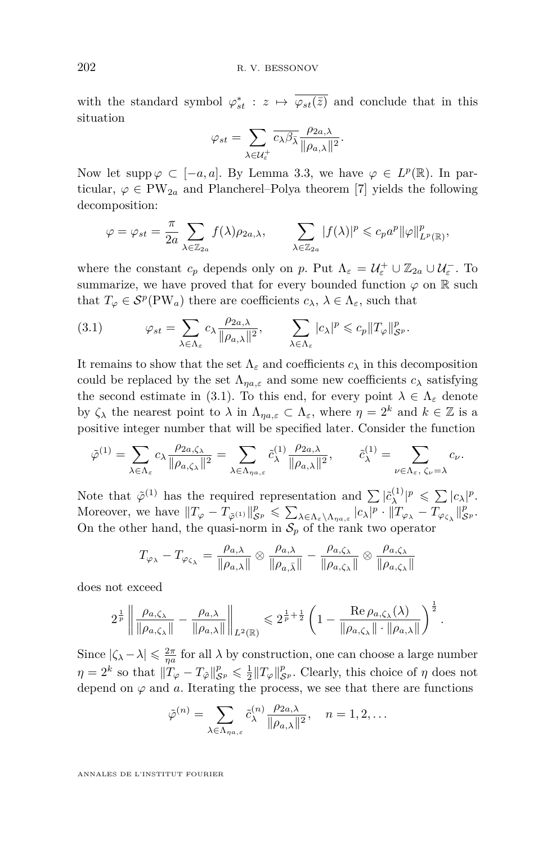with the standard symbol  $\varphi_{st}^*$  :  $z \mapsto \overline{\varphi_{st}(\bar{z})}$  and conclude that in this situation

$$
\varphi_{st} = \sum_{\lambda \in \mathcal{U}_{\varepsilon}^+} \overline{c_{\lambda} \beta_{\bar{\lambda}}} \frac{\rho_{2a,\lambda}}{\|\rho_{a,\lambda}\|^2}.
$$

Now let supp  $\varphi \subset [-a, a]$ . By Lemma [3.3,](#page-6-2) we have  $\varphi \in L^p(\mathbb{R})$ . In particular,  $\varphi \in PW_{2a}$  and Plancherel–Polya theorem [\[7\]](#page-21-9) yields the following decomposition:

$$
\varphi = \varphi_{st} = \frac{\pi}{2a} \sum_{\lambda \in \mathbb{Z}_{2a}} f(\lambda) \rho_{2a,\lambda}, \qquad \sum_{\lambda \in \mathbb{Z}_{2a}} |f(\lambda)|^p \leqslant c_p a^p ||\varphi||_{L^p(\mathbb{R})}^p,
$$

where the constant  $c_p$  depends only on  $p$ . Put  $\Lambda_{\varepsilon} = \mathcal{U}_{\varepsilon}^+ \cup \mathbb{Z}_{2a} \cup \mathcal{U}_{\varepsilon}^-$ . To summarize, we have proved that for every bounded function  $\varphi$  on R such that  $T_{\varphi} \in \mathcal{S}^p(\text{PW}_a)$  there are coefficients  $c_{\lambda}, \lambda \in \Lambda_{\varepsilon}$ , such that

<span id="page-8-0"></span>(3.1) 
$$
\varphi_{st} = \sum_{\lambda \in \Lambda_{\varepsilon}} c_{\lambda} \frac{\rho_{2a,\lambda}}{\|\rho_{a,\lambda}\|^2}, \qquad \sum_{\lambda \in \Lambda_{\varepsilon}} |c_{\lambda}|^p \leqslant c_p \|T_{\varphi}\|_{\mathcal{S}^p}^p.
$$

It remains to show that the set  $\Lambda_{\varepsilon}$  and coefficients  $c_{\lambda}$  in this decomposition could be replaced by the set  $\Lambda_{\eta a,\varepsilon}$  and some new coefficients  $c_{\lambda}$  satisfying the second estimate in [\(3.1\)](#page-8-0). To this end, for every point  $\lambda \in \Lambda_{\varepsilon}$  denote by  $\zeta_{\lambda}$  the nearest point to  $\lambda$  in  $\Lambda_{n\alpha,\varepsilon} \subset \Lambda_{\varepsilon}$ , where  $\eta = 2^{k}$  and  $k \in \mathbb{Z}$  is a positive integer number that will be specified later. Consider the function

$$
\tilde{\varphi}^{(1)} = \sum_{\lambda \in \Lambda_{\varepsilon}} c_{\lambda} \frac{\rho_{2a,\zeta_{\lambda}}}{\|\rho_{a,\zeta_{\lambda}}\|^2} = \sum_{\lambda \in \Lambda_{\eta a,\varepsilon}} \tilde{c}_{\lambda}^{(1)} \frac{\rho_{2a,\lambda}}{\|\rho_{a,\lambda}\|^2}, \qquad \tilde{c}_{\lambda}^{(1)} = \sum_{\nu \in \Lambda_{\varepsilon}, \ \zeta_{\nu} = \lambda} c_{\nu}.
$$

Note that  $\tilde{\varphi}^{(1)}$  has the required representation and  $\sum |\tilde{c}_{\lambda}^{(1)}|$  $\sum_{\lambda}^{(1)} |p \leqslant \sum |c_{\lambda}|^p.$ Moreover, we have  $||T_{\varphi} - T_{\tilde{\varphi}^{(1)}}||_{\mathcal{S}^p}^p \leqslant \sum_{\lambda \in \Lambda_{\varepsilon} \setminus \Lambda_{\eta a,\varepsilon}} |c_{\lambda}|^p \cdot ||T_{\varphi_{\lambda}} - T_{\varphi_{\zeta_{\lambda}}}||_{\mathcal{S}^p}^p.$ On the other hand, the quasi-norm in  $S_p$  of the rank two operator

$$
T_{\varphi_{\lambda}} - T_{\varphi_{\zeta_{\lambda}}} = \frac{\rho_{a,\lambda}}{\|\rho_{a,\lambda}\|} \otimes \frac{\rho_{a,\lambda}}{\|\rho_{a,\bar{\lambda}}\|} - \frac{\rho_{a,\zeta_{\lambda}}}{\|\rho_{a,\zeta_{\lambda}}\|} \otimes \frac{\rho_{a,\zeta_{\lambda}}}{\|\rho_{a,\zeta_{\lambda}}\|}
$$

does not exceed

$$
2^{\frac{1}{p}}\left\|\frac{\rho_{a,\zeta_\lambda}}{\|\rho_{a,\zeta_\lambda}\|}-\frac{\rho_{a,\lambda}}{\|\rho_{a,\lambda}\|}\right\|_{L^2(\mathbb{R})}\leqslant 2^{\frac{1}{p}+\frac{1}{2}}\left(1-\frac{\mathrm{Re}\,\rho_{a,\zeta_\lambda}(\lambda)}{\|\rho_{a,\zeta_\lambda}\|\cdot\|\rho_{a,\lambda}\|}\right)^{\frac{1}{2}}.
$$

Since  $|\zeta_{\lambda}-\lambda| \leq \frac{2\pi}{\eta a}$  for all  $\lambda$  by construction, one can choose a large number  $\eta = 2^k$  so that  $||T_\varphi - T_{\tilde{\varphi}}||_{\mathcal{S}^p}^p \leq \frac{1}{2} ||T_\varphi||_{\mathcal{S}^p}^p$ . Clearly, this choice of  $\eta$  does not depend on  $\varphi$  and  $a$ . Iterating the process, we see that there are functions

$$
\tilde{\varphi}^{(n)} = \sum_{\lambda \in \Lambda_{\eta a,\varepsilon}} \tilde{c}_{\lambda}^{(n)} \frac{\rho_{2a,\lambda}}{\|\rho_{a,\lambda}\|^2}, \quad n = 1, 2, \dots
$$

ANNALES DE L'INSTITUT FOURIER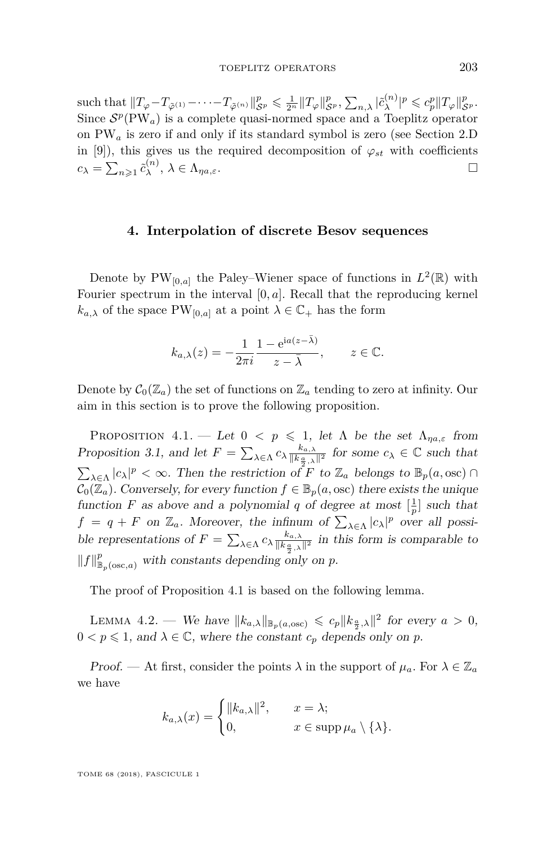$\sup_{\mathcal{S}} \mathcal{L} \mathcal{L}_{\tilde{\varphi}}(n) - \cdots - T_{\tilde{\varphi}}(n) \Vert_{\mathcal{S}^p}^p \leq \frac{1}{2^n} \Vert T_{\varphi} \Vert_{\mathcal{S}^p}^p, \sum_{n,\lambda} |\tilde{c}_{\lambda}^{(n)}|$  $\int_{\lambda}^{(n)} |p \leqslant c_p^p ||T_\varphi||_{\mathcal{S}^p}^p.$ Since  $S^p(PW_a)$  is a complete quasi-normed space and a Toeplitz operator on PW*<sup>a</sup>* is zero if and only if its standard symbol is zero (see Section 2.D in [\[9\]](#page-21-0)), this gives us the required decomposition of  $\varphi_{st}$  with coefficients  $c_{\lambda} = \sum_{n\geqslant 1} \tilde{c}_{\lambda}^{(n)}$  $\lambda^{(n)}$ ,  $\lambda \in \Lambda_{\eta a, \varepsilon}$ .

#### **4. Interpolation of discrete Besov sequences**

Denote by  $PW_{[0,a]}$  the Paley–Wiener space of functions in  $L^2(\mathbb{R})$  with Fourier spectrum in the interval [0*, a*]. Recall that the reproducing kernel  $k_{a,\lambda}$  of the space PW<sub>[0*,a*]</sub> at a point  $\lambda \in \mathbb{C}_+$  has the form

$$
k_{a,\lambda}(z) = -\frac{1}{2\pi i} \frac{1 - e^{ia(z - \bar{\lambda})}}{z - \bar{\lambda}}, \qquad z \in \mathbb{C}.
$$

Denote by  $C_0(\mathbb{Z}_a)$  the set of functions on  $\mathbb{Z}_a$  tending to zero at infinity. Our aim in this section is to prove the following proposition.

<span id="page-9-0"></span>PROPOSITION 4.1. — Let  $0 < p \le 1$ , let  $\Lambda$  be the set  $\Lambda_{\eta a, \varepsilon}$  from Proposition [3.1,](#page-6-0) and let  $F = \sum_{\lambda \in \Lambda} c_{\lambda} \frac{k_{a,\lambda}}{\|k_{\frac{a}{2},\lambda}\|^2}$  for some  $c_{\lambda} \in \mathbb{C}$  such that  $\sum_{\lambda \in \Lambda} |c_{\lambda}|^p < \infty$ . Then the restriction of *F* to  $\mathbb{Z}_a$  belongs to  $\mathbb{B}_p(a, \text{osc}) \cap$  $C_0(\mathbb{Z}_a)$ . Conversely, for every function  $f \in \mathbb{B}_p(a, \text{osc})$  there exists the unique function *F* as above and a polynomial *q* of degree at most  $\left[\frac{1}{p}\right]$  such that  $f = q + F$  on  $\mathbb{Z}_a$ . Moreover, the infinum of  $\sum_{\lambda \in \Lambda} |c_{\lambda}|^p$  over all possible representations of  $F = \sum_{\lambda \in \Lambda} c_{\lambda} \frac{k_{a,\lambda}}{\|k_{\frac{a}{2},\lambda}\|^2}$  in this form is comparable to  $||f||_{\mathbb{B}_p(\csc,a)}^p$  with constants depending only on *p*.

The proof of Proposition [4.1](#page-9-0) is based on the following lemma.

<span id="page-9-1"></span>LEMMA 4.2. — We have  $||k_{a,\lambda}||_{\mathbb{B}_p(a,\text{osc})} \leqslant c_p ||k_{\frac{a}{2},\lambda}||^2$  for every  $a > 0$ ,  $0 < p \leq 1$ , and  $\lambda \in \mathbb{C}$ , where the constant  $c_p$  depends only on p.

Proof. — At first, consider the points  $\lambda$  in the support of  $\mu_a$ . For  $\lambda \in \mathbb{Z}_a$ we have

$$
k_{a,\lambda}(x) = \begin{cases} ||k_{a,\lambda}||^2, & x = \lambda; \\ 0, & x \in \text{supp } \mu_a \setminus \{\lambda\}. \end{cases}
$$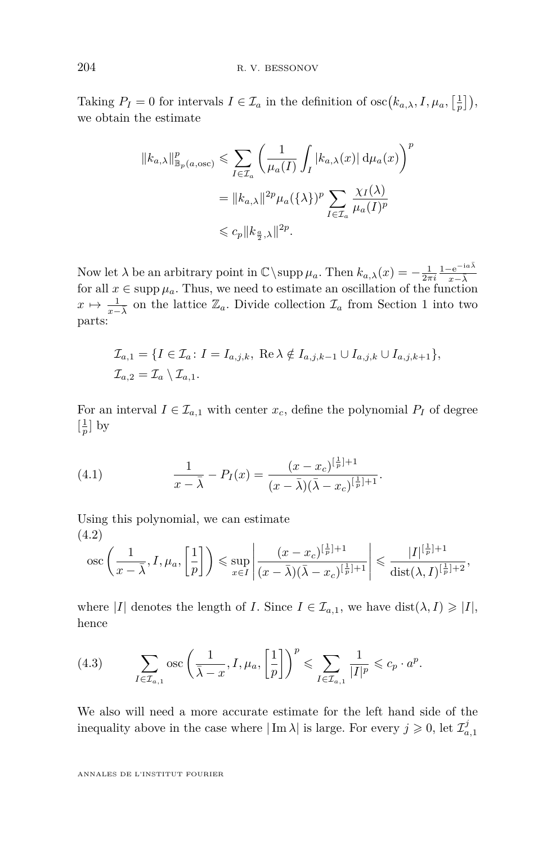Taking  $P_I = 0$  for intervals  $I \in \mathcal{I}_a$  in the definition of  $\csc(k_{a,\lambda}, I, \mu_a, \left[\frac{1}{p}\right])$ , we obtain the estimate

$$
||k_{a,\lambda}||_{\mathbb{B}_p(a,\text{osc})}^p \le \sum_{I \in \mathcal{I}_a} \left( \frac{1}{\mu_a(I)} \int_I |k_{a,\lambda}(x)| \, d\mu_a(x) \right)^p
$$
  

$$
= ||k_{a,\lambda}||^{2p} \mu_a(\{\lambda\})^p \sum_{I \in \mathcal{I}_a} \frac{\chi_I(\lambda)}{\mu_a(I)^p}
$$
  

$$
\le c_p ||k_{\frac{a}{2},\lambda}||^{2p}.
$$

Now let  $\lambda$  be an arbitrary point in  $\mathbb{C}\setminus \text{supp }\mu_a$ . Then  $k_{a,\lambda}(x) = -\frac{1}{2\pi i} \frac{1-e^{-i a \bar{\lambda}}}{x-\bar{\lambda}}$  $x−\bar{λ}$ for all  $x \in \text{supp } \mu_a$ . Thus, we need to estimate an oscillation of the function *x*  $\mapsto \frac{1}{x-\lambda}$  $\mapsto \frac{1}{x-\lambda}$  $\mapsto \frac{1}{x-\lambda}$  on the lattice  $\mathbb{Z}_a$ . Divide collection  $\mathcal{I}_a$  from Section 1 into two parts:

$$
\mathcal{I}_{a,1} = \{I \in \mathcal{I}_a \colon I = I_{a,j,k}, \text{ Re }\lambda \notin I_{a,j,k-1} \cup I_{a,j,k} \cup I_{a,j,k+1}\},\
$$
  

$$
\mathcal{I}_{a,2} = \mathcal{I}_a \setminus \mathcal{I}_{a,1}.
$$

For an interval  $I \in \mathcal{I}_{a,1}$  with center  $x_c$ , define the polynomial  $P_I$  of degree  $\left[\frac{1}{p}\right]$  by

<span id="page-10-1"></span>(4.1) 
$$
\frac{1}{x-\bar{\lambda}} - P_I(x) = \frac{(x-x_c)^{\left[\frac{1}{p}\right]+1}}{(x-\bar{\lambda})(\bar{\lambda}-x_c)^{\left[\frac{1}{p}\right]+1}}.
$$

Using this polynomial, we can estimate (4.2)

<span id="page-10-2"></span>
$$
\operatorname{osc}\left(\frac{1}{x-\overline{\lambda}},I,\mu_a,\left[\frac{1}{p}\right]\right)\leqslant \sup_{x\in I}\left|\frac{(x-x_c)^{\left[\frac{1}{p}\right]+1}}{(x-\overline{\lambda})(\overline{\lambda}-x_c)^{\left[\frac{1}{p}\right]+1}}\right|\leqslant \frac{|I|^{\left[\frac{1}{p}\right]+1}}{\operatorname{dist}(\lambda,I)^{\left[\frac{1}{p}\right]+2}},
$$

where |*I*| denotes the length of *I*. Since  $I \in \mathcal{I}_{a,1}$ , we have dist $(\lambda, I) \geq |I|$ , hence

<span id="page-10-0"></span>
$$
(4.3) \qquad \sum_{I\in\mathcal{I}_{a,1}}\mathrm{osc}\left(\frac{1}{\bar{\lambda}-x},I,\mu_{a},\left[\frac{1}{p}\right]\right)^{p}\leqslant\sum_{I\in\mathcal{I}_{a,1}}\frac{1}{|I|^{p}}\leqslant c_{p}\cdot a^{p}.
$$

We also will need a more accurate estimate for the left hand side of the inequality above in the case where  $|\text{Im }\lambda|$  is large. For every  $j \geqslant 0$ , let  $\mathcal{I}_{a,1}^j$ 

ANNALES DE L'INSTITUT FOURIER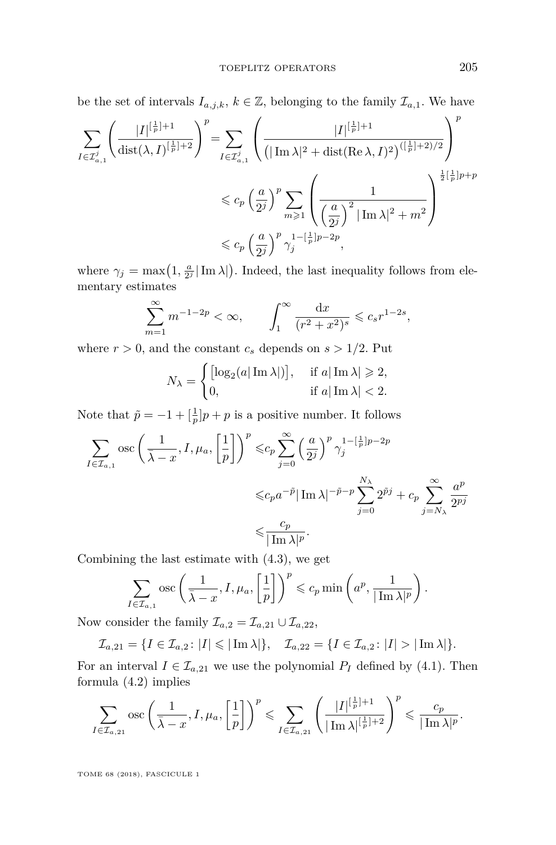be the set of intervals  $I_{a,j,k}$ ,  $k \in \mathbb{Z}$ , belonging to the family  $\mathcal{I}_{a,1}$ . We have

$$
\begin{split} \sum_{I\in\mathcal{I}_{a,1}^j}\Bigg(\frac{|I|^{\left[\frac{1}{p}\right]+1}}{\textup{dist}(\lambda,I)^{\left[\frac{1}{p}\right]+2}}\Bigg)^p =& \sum_{I\in\mathcal{I}_{a,1}^j}\Bigg(\frac{|I|^{\left[\frac{1}{p}\right]+1}}{\left(|\operatorname{Im}\lambda|^2+\textup{dist}(\operatorname{Re}\lambda,I)^2\right)^{([\frac{1}{p}]+2)/2}}\Bigg)^p\\ &\leqslant c_p\left(\frac{a}{2^j}\right)^p\sum_{m\geqslant 1}\Bigg(\frac{1}{\left(\frac{a}{2^j}\right)^2|\operatorname{Im}\lambda|^2+m^2}\Bigg)^{\frac{1}{2}\left[\frac{1}{p}\right]p+p}\\ &\leqslant c_p\left(\frac{a}{2^j}\right)^p\gamma_j^{1-[\frac{1}{p}]p-2p}, \end{split}
$$

where  $\gamma_j = \max(1, \frac{a}{2^j} | \text{Im }\lambda|)$ . Indeed, the last inequality follows from elementary estimates

$$
\sum_{m=1}^{\infty} m^{-1-2p} < \infty, \qquad \int_{1}^{\infty} \frac{\mathrm{d}x}{(r^2 + x^2)^s} \leqslant c_s r^{1-2s},
$$

where  $r > 0$ , and the constant  $c_s$  depends on  $s > 1/2$ . Put

$$
N_{\lambda} = \begin{cases} \left[ \log_2(a|\operatorname{Im} \lambda|) \right], & \text{if } a|\operatorname{Im} \lambda| \geq 2, \\ 0, & \text{if } a|\operatorname{Im} \lambda| < 2. \end{cases}
$$

Note that  $\tilde{p} = -1 + \left[\frac{1}{p}\right]p + p$  is a positive number. It follows

$$
\begin{split} \sum_{I \in \mathcal{I}_{a,1}} \operatorname{osc}\left(\frac{1}{\bar{\lambda}-x}, I, \mu_a, \left[\frac{1}{p}\right]\right)^p & \leqslant c_p \sum_{j=0}^{\infty} \left(\frac{a}{2^j}\right)^p \gamma_j^{1-\left[\frac{1}{p}\right]p-2p} \\ & \leqslant c_p a^{-\tilde{p}} |\operatorname{Im} \lambda|^{-\tilde{p}-p} \sum_{j=0}^{N_{\lambda}} 2^{\tilde{p}j} + c_p \sum_{j=N_{\lambda}}^{\infty} \frac{a^p}{2^{pj}} \\ & \leqslant \frac{c_p}{|\operatorname{Im} \lambda|^p}. \end{split}
$$

Combining the last estimate with [\(4.3\)](#page-10-0), we get

$$
\sum_{I \in \mathcal{I}_{a,1}} \text{osc}\left(\frac{1}{\bar{\lambda} - x}, I, \mu_a, \left[\frac{1}{p}\right]\right)^p \leqslant c_p \min\left(a^p, \frac{1}{|\operatorname{Im} \lambda|^p}\right).
$$

Now consider the family  $\mathcal{I}_{a,2} = \mathcal{I}_{a,21} \cup \mathcal{I}_{a,22}$ ,

$$
\mathcal{I}_{a,21}=\{I\in\mathcal{I}_{a,2}\colon |I|\leqslant|\operatorname{Im}\lambda|\},\quad \mathcal{I}_{a,22}=\{I\in\mathcal{I}_{a,2}\colon |I|>|\operatorname{Im}\lambda|\}.
$$

For an interval  $I \in \mathcal{I}_{a,21}$  we use the polynomial  $P_I$  defined by [\(4.1\)](#page-10-1). Then formula [\(4.2\)](#page-10-2) implies

$$
\sum_{I \in \mathcal{I}_{a,21}} \text{osc}\left(\frac{1}{\bar{\lambda}-x}, I, \mu_a, \left[\frac{1}{p}\right]\right)^p \leqslant \sum_{I \in \mathcal{I}_{a,21}} \left(\frac{|I|^{\left[\frac{1}{p}\right]+1}}{|\operatorname{Im} \lambda|^{\left[\frac{1}{p}\right]+2}}\right)^p \leqslant \frac{c_p}{|\operatorname{Im} \lambda|^p}.
$$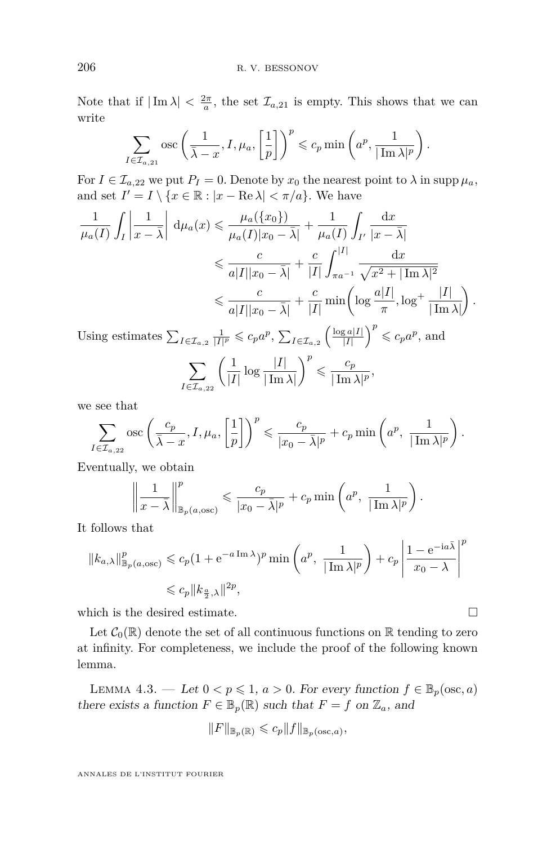Note that if  $|\text{Im }\lambda| < \frac{2\pi}{a}$ , the set  $\mathcal{I}_{a,21}$  is empty. This shows that we can write

$$
\sum_{I \in \mathcal{I}_{a,21}} \csc \left( \frac{1}{\bar{\lambda} - x}, I, \mu_a, \left[ \frac{1}{p} \right] \right)^p \leqslant c_p \min \left( a^p, \frac{1}{|\operatorname{Im} \lambda|^p} \right).
$$

For  $I \in \mathcal{I}_{a,22}$  we put  $P_I = 0$ . Denote by  $x_0$  the nearest point to  $\lambda$  in supp  $\mu_a$ , and set  $I' = I \setminus \{x \in \mathbb{R} : |x - \text{Re }\lambda| < \pi/a\}$ . We have

$$
\frac{1}{\mu_a(I)} \int_I \left| \frac{1}{x - \bar{\lambda}} \right| d\mu_a(x) \le \frac{\mu_a(\{x_0\})}{\mu_a(I)|x_0 - \bar{\lambda}|} + \frac{1}{\mu_a(I)} \int_{I'} \frac{dx}{|x - \bar{\lambda}|}
$$
  

$$
\le \frac{c}{a|I||x_0 - \bar{\lambda}|} + \frac{c}{|I|} \int_{\pi a^{-1}}^{|I|} \frac{dx}{\sqrt{x^2 + |\text{Im }\lambda|^2}}
$$
  

$$
\le \frac{c}{a|I||x_0 - \bar{\lambda}|} + \frac{c}{|I|} \min\left(\log \frac{a|I|}{\pi}, \log^+ \frac{|I|}{|\text{Im }\lambda|}\right).
$$

Using estimates  $\sum_{I \in \mathcal{I}_{a,2}} \frac{1}{|I|^p} \leqslant c_p a^p$ ,  $\sum_{I \in \mathcal{I}_{a,2}} \left( \frac{\log a |I|}{|I|} \right)$  $\left(\frac{\sum a|I|}{|I|}\right)^p \leqslant c_p a^p$ , and

$$
\sum_{I \in \mathcal{I}_{a,22}} \left( \frac{1}{|I|} \log \frac{|I|}{|\operatorname{Im} \lambda|} \right)^p \leqslant \frac{c_p}{|\operatorname{Im} \lambda|^p},
$$

we see that

$$
\sum_{I \in \mathcal{I}_{a,22}} \csc \left(\frac{c_p}{\bar{\lambda} - x}, I, \mu_a, \left[\frac{1}{p}\right]\right)^p \leqslant \frac{c_p}{|x_0 - \bar{\lambda}|^p} + c_p \min\left(a^p, \frac{1}{|\operatorname{Im} \lambda|^p}\right).
$$

Eventually, we obtain

$$
\left\|\frac{1}{x-\bar{\lambda}}\right\|_{\mathbb{B}_p(a,\mathrm{osc})}^p \leqslant \frac{c_p}{|x_0-\bar{\lambda}|^p} + c_p \min\left(a^p, \frac{1}{|\operatorname{Im}\lambda|^p}\right).
$$

It follows that

$$
||k_{a,\lambda}||_{\mathbb{B}_p(a,\text{osc})}^p \leqslant c_p (1 + e^{-a \operatorname{Im} \lambda})^p \min\left(a^p, \frac{1}{|\operatorname{Im} \lambda|^p}\right) + c_p \left|\frac{1 - e^{-ia\bar{\lambda}}}{x_0 - \lambda}\right|^p
$$
  

$$
\leqslant c_p ||k_{\frac{a}{2},\lambda}||^{2p},
$$

which is the desired estimate.  $\hfill \square$ 

Let  $C_0(\mathbb{R})$  denote the set of all continuous functions on  $\mathbb R$  tending to zero at infinity. For completeness, we include the proof of the following known lemma.

<span id="page-12-0"></span>LEMMA 4.3. — Let  $0 < p \leq 1$ ,  $a > 0$ . For every function  $f \in \mathbb{B}_p(\csc, a)$ there exists a function  $F \in \mathbb{B}_p(\mathbb{R})$  such that  $F = f$  on  $\mathbb{Z}_a$ , and

$$
||F||_{\mathbb{B}_p(\mathbb{R})} \leqslant c_p ||f||_{\mathbb{B}_p(\csc,a)},
$$

ANNALES DE L'INSTITUT FOURIER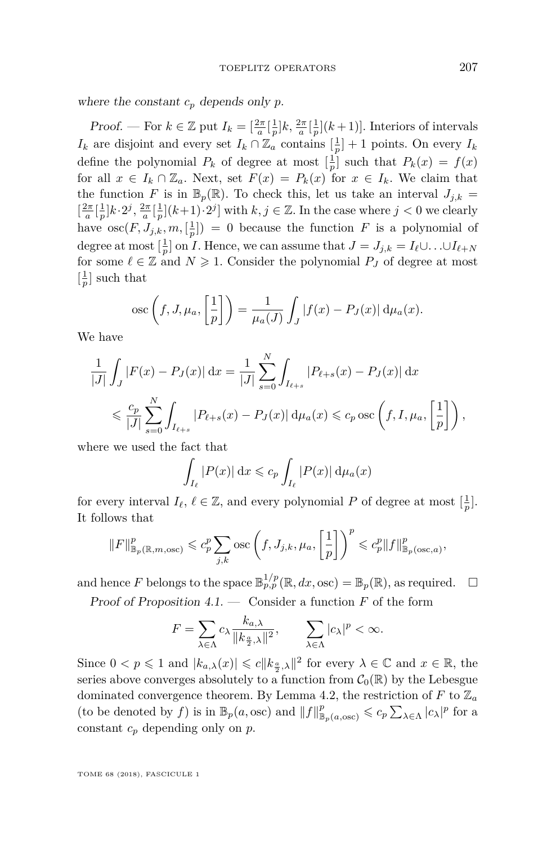where the constant  $c_p$  depends only  $p$ .

Proof. — For  $k \in \mathbb{Z}$  put  $I_k = \left[\frac{2\pi}{a}\left[\frac{1}{p}\right]k, \frac{2\pi}{a}\left[\frac{1}{p}\right](k+1)\right]$ . Interiors of intervals *I*<sup>*k*</sup> are disjoint and every set  $I_k \cap \mathbb{Z}_a$  contains  $\left[\frac{1}{p}\right] + 1$  points. On every  $I_k$ define the polynomial  $P_k$  of degree at most  $\left[\frac{1}{p}\right]$  such that  $P_k(x) = f(x)$ for all  $x \in I_k \cap \mathbb{Z}_a$ . Next, set  $F(x) = P_k(x)$  for  $x \in I_k$ . We claim that the function *F* is in  $\mathbb{B}_p(\mathbb{R})$ . To check this, let us take an interval  $J_{j,k}$  =  $\left[\frac{2\pi}{a}\left[\frac{1}{p}\right]k\cdot2^j,\frac{2\pi}{a}\left[\frac{1}{p}\right](k+1)\cdot2^j\right]$  with  $k,j\in\mathbb{Z}$ . In the case where  $j<0$  we clearly have  $\operatorname{osc}(F, J_{j,k}, m, \left[\frac{1}{p}\right]) = 0$  because the function *F* is a polynomial of degree at most  $\left[\frac{1}{p}\right]$  on *I*. Hence, we can assume that  $J = J_{j,k} = I_{\ell} \cup \ldots \cup I_{\ell+N}$ for some  $\ell \in \mathbb{Z}$  and  $N \geq 1$ . Consider the polynomial  $P_J$  of degree at most  $\left[\frac{1}{p}\right]$  such that

$$
\csc\left(f, J, \mu_a, \left[\frac{1}{p}\right]\right) = \frac{1}{\mu_a(J)} \int_J |f(x) - P_J(x)| \, d\mu_a(x).
$$

We have

$$
\frac{1}{|J|} \int_{J} |F(x) - P_{J}(x)| dx = \frac{1}{|J|} \sum_{s=0}^{N} \int_{I_{\ell+s}} |P_{\ell+s}(x) - P_{J}(x)| dx
$$
  

$$
\leq \frac{c_p}{|J|} \sum_{s=0}^{N} \int_{I_{\ell+s}} |P_{\ell+s}(x) - P_{J}(x)| d\mu_a(x) \leq c_p \csc\left(f, I, \mu_a, \left[\frac{1}{p}\right]\right),
$$

where we used the fact that

$$
\int_{I_{\ell}} |P(x)| dx \leqslant c_p \int_{I_{\ell}} |P(x)| d\mu_a(x)
$$

for every interval  $I_{\ell}, \ell \in \mathbb{Z}$ , and every polynomial  $P$  of degree at most  $\left[\frac{1}{p}\right]$ . It follows that

$$
||F||_{\mathbb{B}_p(\mathbb{R},m,\mathrm{osc})}^p \leqslant c_p^p \sum_{j,k} \mathrm{osc}\left(f,J_{j,k},\mu_a,\left[\frac{1}{p}\right]\right)^p \leqslant c_p^p ||f||_{\mathbb{B}_p(\mathrm{osc},a)}^p,
$$

and hence F belongs to the space  $\mathbb{B}_{p,p}^{1/p}(\mathbb{R},dx,\text{osc}) = \mathbb{B}_p(\mathbb{R})$ , as required.  $\Box$ 

Proof of Proposition [4.1.](#page-9-0) — Consider a function *F* of the form

$$
F = \sum_{\lambda \in \Lambda} c_{\lambda} \frac{k_{a,\lambda}}{\|k_{\frac{a}{2},\lambda}\|^2}, \qquad \sum_{\lambda \in \Lambda} |c_{\lambda}|^p < \infty.
$$

Since  $0 < p \leq 1$  and  $|k_{a,\lambda}(x)| \leq c ||k_{\frac{a}{2},\lambda}||^2$  for every  $\lambda \in \mathbb{C}$  and  $x \in \mathbb{R}$ , the series above converges absolutely to a function from  $C_0(\mathbb{R})$  by the Lebesgue dominated convergence theorem. By Lemma [4.2,](#page-9-1) the restriction of  $F$  to  $\mathbb{Z}_a$ (to be denoted by *f*) is in  $\mathbb{B}_p(a, \text{osc})$  and  $||f||^p_{\mathbb{B}_p(a, \text{osc})} \leqslant c_p \sum_{\lambda \in \Lambda} |c_\lambda|^p$  for a constant *c<sup>p</sup>* depending only on *p*.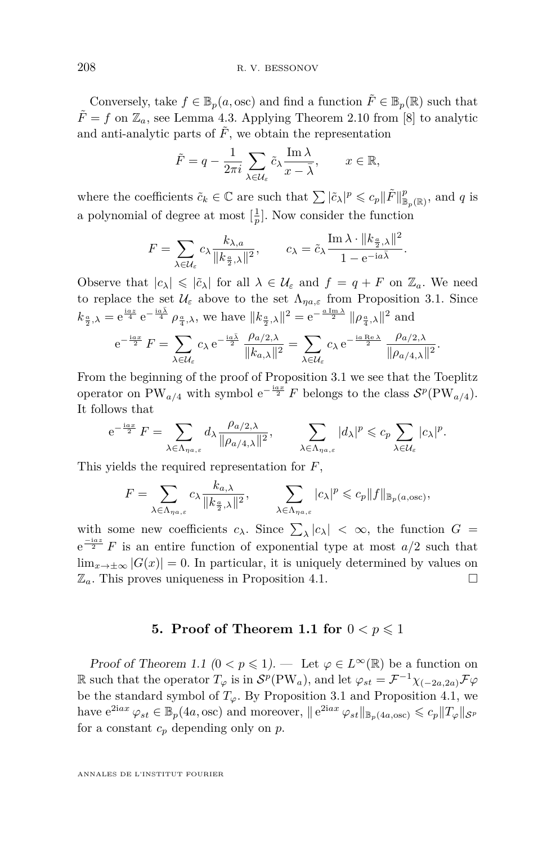Conversely, take  $f \in \mathbb{B}_p(a, \text{osc})$  and find a function  $\tilde{F} \in \mathbb{B}_p(\mathbb{R})$  such that  $\tilde{F} = f$  on  $\mathbb{Z}_a$ , see Lemma [4.3.](#page-12-0) Applying Theorem 2.10 from [\[8\]](#page-21-6) to analytic and anti-analytic parts of  $\tilde{F}$ , we obtain the representation

$$
\tilde{F} = q - \frac{1}{2\pi i} \sum_{\lambda \in \mathcal{U}_{\varepsilon}} \tilde{c}_{\lambda} \frac{\operatorname{Im} \lambda}{x - \overline{\lambda}}, \qquad x \in \mathbb{R},
$$

where the coefficients  $\tilde{c}_k \in \mathbb{C}$  are such that  $\sum |\tilde{c}_\lambda|^p \leqslant c_p \|\tilde{F}\|_{\mathbb{B}_p(\mathbb{R})}^p$ , and *q* is a polynomial of degree at most  $\left[\frac{1}{p}\right]$ . Now consider the function

$$
F = \sum_{\lambda \in \mathcal{U}_{\varepsilon}} c_{\lambda} \frac{k_{\lambda, a}}{\|k_{\frac{\alpha}{2}, \lambda}\|^2}, \qquad c_{\lambda} = \tilde{c}_{\lambda} \frac{\operatorname{Im} \lambda \cdot \|k_{\frac{\alpha}{2}, \lambda}\|^2}{1 - e^{-ia\bar{\lambda}}}.
$$

Observe that  $|c_{\lambda}| \leqslant |\tilde{c}_{\lambda}|$  for all  $\lambda \in \mathcal{U}_{\varepsilon}$  and  $f = q + F$  on  $\mathbb{Z}_{a}$ . We need to replace the set  $\mathcal{U}_{\varepsilon}$  above to the set  $\Lambda_{\eta a,\varepsilon}$  from Proposition [3.1.](#page-6-0) Since  $k_{\frac{a}{2},\lambda} = e^{\frac{iaz}{4}} e^{-\frac{ia\bar{\lambda}}{4}} \rho_{\frac{a}{4},\lambda}$ , we have  $||k_{\frac{a}{2},\lambda}||^2 = e^{-\frac{aIm\lambda}{2}} ||\rho_{\frac{a}{4},\lambda}||^2$  and

$$
\mathrm{e}^{-\frac{\mathrm{i} a x}{2}}\,F=\sum_{\lambda\in\mathcal{U}_\varepsilon}c_\lambda\,\mathrm{e}^{-\frac{\mathrm{i} a\bar{\lambda}}{2}}\,\frac{\rho_{a/2,\lambda}}{\|k_{a,\lambda}\|^2}=\sum_{\lambda\in\mathcal{U}_\varepsilon}c_\lambda\,\mathrm{e}^{-\frac{\mathrm{i} a\,\mathrm{Re}\,\lambda}{2}}\,\frac{\rho_{a/2,\lambda}}{\|\rho_{a/4,\lambda}\|^2}
$$

*.*

From the beginning of the proof of Proposition [3.1](#page-6-0) we see that the Toeplitz operator on PW<sub>a/4</sub> with symbol  $e^{-\frac{iax}{2}} F$  belongs to the class  $S^p(PW_{a/4})$ . It follows that

$$
e^{-\frac{iax}{2}} F = \sum_{\lambda \in \Lambda_{\eta a,\varepsilon}} d_{\lambda} \frac{\rho_{a/2,\lambda}}{\|\rho_{a/4,\lambda}\|^2}, \qquad \sum_{\lambda \in \Lambda_{\eta a,\varepsilon}} |d_{\lambda}|^p \leqslant c_p \sum_{\lambda \in \mathcal{U}_{\varepsilon}} |c_{\lambda}|^p.
$$

This yields the required representation for *F*,

$$
F = \sum_{\lambda \in \Lambda_{\eta a,\varepsilon}} c_{\lambda} \frac{k_{a,\lambda}}{\|k_{\frac{a}{2},\lambda}\|^2}, \qquad \sum_{\lambda \in \Lambda_{\eta a,\varepsilon}} |c_{\lambda}|^p \leqslant c_p \|f\|_{\mathbb{B}_p(a,\text{osc})},
$$

with some new coefficients  $c_{\lambda}$ . Since  $\sum_{\lambda} |c_{\lambda}| < \infty$ , the function  $G =$  $e^{-iaz}$  *F* is an entire function of exponential type at most  $a/2$  such that  $\lim_{x\to\pm\infty} |G(x)| = 0$ . In particular, it is uniquely determined by values on  $\mathbb{Z}_a$ . This proves uniqueness in Proposition [4.1.](#page-9-0)

#### **5. Proof of Theorem 1.1 for**  $0 < p \le 1$

Proof of Theorem [1.1](#page-2-0) ( $0 < p \le 1$ ). — Let  $\varphi \in L^{\infty}(\mathbb{R})$  be a function on  $\mathbb{R}$  such that the operator  $T_{\varphi}$  is in  $\mathcal{S}^p(\text{PW}_a)$ , and let  $\varphi_{st} = \mathcal{F}^{-1}\chi_{(-2a,2a)}\mathcal{F}\varphi$ be the standard symbol of  $T_\varphi$ . By Proposition [3.1](#page-6-0) and Proposition [4.1,](#page-9-0) we have  $e^{2iax} \varphi_{st} \in \mathbb{B}_p(4a, \text{osc})$  and moreover,  $||e^{2iax} \varphi_{st}||_{\mathbb{B}_p(4a, \text{osc})} \leqslant c_p ||T_{\varphi}||_{\mathcal{S}^p}$ for a constant *c<sup>p</sup>* depending only on *p*.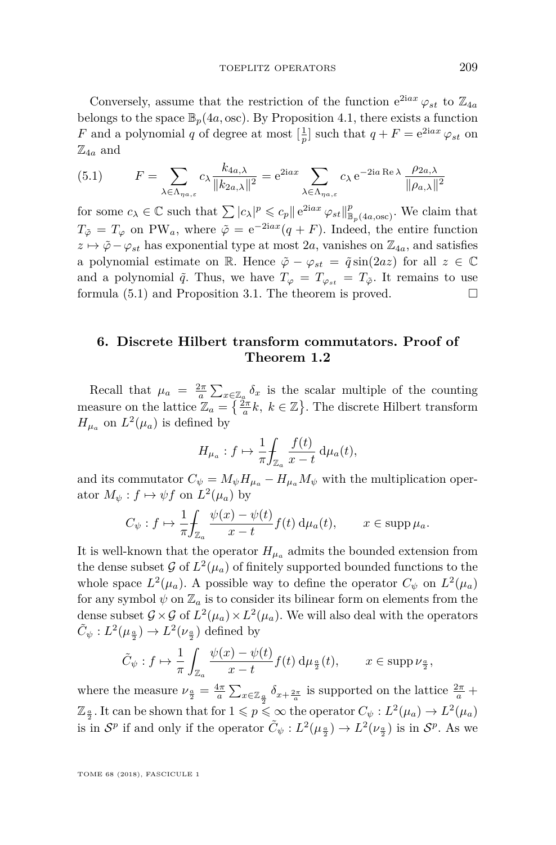Conversely, assume that the restriction of the function  $e^{2iax} \varphi_{st}$  to  $\mathbb{Z}_{4a}$ belongs to the space  $\mathbb{B}_p(4a, \text{osc})$ . By Proposition [4.1,](#page-9-0) there exists a function *F* and a polynomial *q* of degree at most  $\left[\frac{1}{p}\right]$  such that  $q + F = e^{2iax} \varphi_{st}$  on  $\mathbb{Z}_{4a}$  and

<span id="page-15-1"></span>(5.1) 
$$
F = \sum_{\lambda \in \Lambda_{\eta a,\varepsilon}} c_{\lambda} \frac{k_{4a,\lambda}}{\|k_{2a,\lambda}\|^2} = e^{2iax} \sum_{\lambda \in \Lambda_{\eta a,\varepsilon}} c_{\lambda} e^{-2ia \operatorname{Re}\lambda} \frac{\rho_{2a,\lambda}}{\|\rho_{a,\lambda}\|^2}
$$

for some  $c_{\lambda} \in \mathbb{C}$  such that  $\sum |c_{\lambda}|^p \leqslant c_p ||e^{2iax} \varphi_{st}||^p_{\mathbb{B}_p(4a,\text{osc})}$ . We claim that  $T_{\tilde{\varphi}} = T_{\varphi}$  on PW<sub>a</sub>, where  $\tilde{\varphi} = e^{-2iax}(q + F)$ . Indeed, the entire function  $z \mapsto \tilde{\varphi} - \varphi_{st}$  has exponential type at most 2*a*, vanishes on  $\mathbb{Z}_{4a}$ , and satisfies a polynomial estimate on R. Hence  $\tilde{\varphi} - \varphi_{st} = \tilde{q} \sin(2az)$  for all  $z \in \mathbb{C}$ and a polynomial  $\tilde{q}$ . Thus, we have  $T_{\varphi} = T_{\varphi_{st}} = T_{\tilde{\varphi}}$ . It remains to use formula  $(5.1)$  and Proposition [3.1.](#page-6-0) The theorem is proved.

#### <span id="page-15-0"></span>**6. Discrete Hilbert transform commutators. Proof of Theorem 1.2**

Recall that  $\mu_a = \frac{2\pi}{a} \sum_{x \in \mathbb{Z}_a} \delta_x$  is the scalar multiple of the counting measure on the lattice  $\mathbb{Z}_a = \left\{ \frac{\tilde{z}_a}{a} k, k \in \mathbb{Z} \right\}$ . The discrete Hilbert transform  $H_{\mu_a}$  on  $L^2(\mu_a)$  is defined by

$$
H_{\mu_a}: f \mapsto \frac{1}{\pi} \int_{\mathbb{Z}_a} \frac{f(t)}{x - t} \, \mathrm{d}\mu_a(t),
$$

and its commutator  $C_{\psi} = M_{\psi} H_{\mu_a} - H_{\mu_a} M_{\psi}$  with the multiplication operator  $M_{\psi}$ :  $f \mapsto \psi f$  on  $L^2(\mu_a)$  by

$$
C_{\psi}: f \mapsto \frac{1}{\pi} \int_{\mathbb{Z}_a} \frac{\psi(x) - \psi(t)}{x - t} f(t) \, \mathrm{d}\mu_a(t), \qquad x \in \mathrm{supp} \,\mu_a.
$$

It is well-known that the operator  $H_{\mu_a}$  admits the bounded extension from the dense subset  $\mathcal{G}$  of  $L^2(\mu_a)$  of finitely supported bounded functions to the whole space  $L^2(\mu_a)$ . A possible way to define the operator  $C_{\psi}$  on  $L^2(\mu_a)$ for any symbol  $\psi$  on  $\mathbb{Z}_a$  is to consider its bilinear form on elements from the dense subset  $\mathcal{G} \times \mathcal{G}$  of  $L^2(\mu_a) \times L^2(\mu_a)$ . We will also deal with the operators  $\tilde{C}_{\psi}: L^2(\mu_{\frac{\alpha}{2}}) \to L^2(\nu_{\frac{\alpha}{2}})$  defined by

$$
\tilde{C}_{\psi}:f\mapsto \frac{1}{\pi}\int_{\mathbb{Z}_a}\frac{\psi(x)-\psi(t)}{x-t}f(t)\,\mathrm{d}\mu_{\frac{a}{2}}(t),\qquad x\in \mathrm{supp}\,\nu_{\frac{a}{2}},
$$

where the measure  $\nu_{\frac{a}{2}} = \frac{4\pi}{a} \sum_{x \in \mathbb{Z}_{\frac{a}{2}}} \delta_{x + \frac{2\pi}{a}}$  is supported on the lattice  $\frac{2\pi}{a}$  +  $\mathbb{Z}_{\frac{\alpha}{2}}$ . It can be shown that for  $1 \leqslant p \leqslant \infty$  the operator  $C_{\psi}: L^2(\mu_a) \to L^2(\mu_a)$ is in  $S^p$  if and only if the operator  $\tilde{C}_{\psi}: L^2(\mu_{\frac{\alpha}{2}}) \to L^2(\nu_{\frac{\alpha}{2}})$  is in  $S^p$ . As we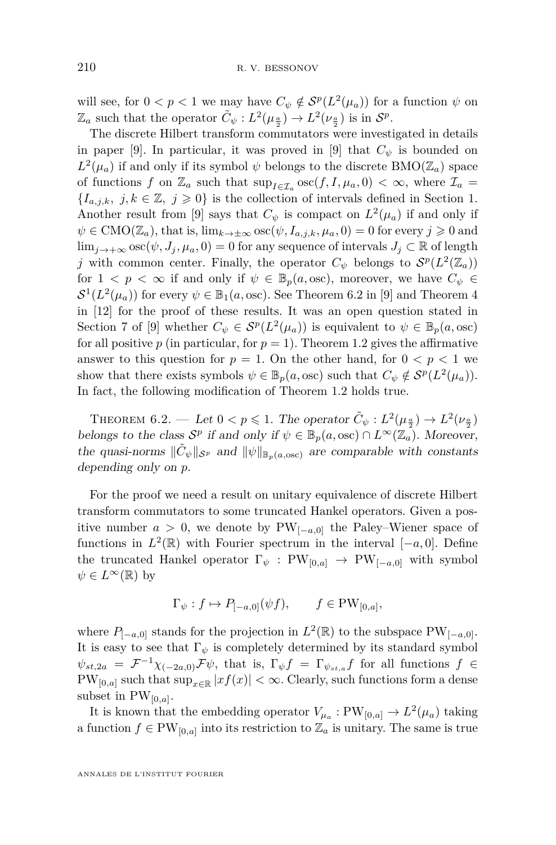will see, for  $0 < p < 1$  we may have  $C_{\psi} \notin \mathcal{S}^p(L^2(\mu_a))$  for a function  $\psi$  on  $\mathbb{Z}_a$  such that the operator  $\tilde{C}_{\psi}: L^2(\mu_{\frac{a}{2}}) \to L^2(\nu_{\frac{a}{2}})$  is in  $\mathcal{S}^p$ .

The discrete Hilbert transform commutators were investigated in details in paper [\[9\]](#page-21-0). In particular, it was proved in [9] that  $C_{\psi}$  is bounded on  $L^2(\mu_a)$  if and only if its symbol  $\psi$  belongs to the discrete BMO( $\mathbb{Z}_a$ ) space of functions *f* on  $\mathbb{Z}_a$  such that  $\sup_{I \in \mathcal{I}_a} \operatorname{osc}(f, I, \mu_a, 0) < \infty$ , where  $\mathcal{I}_a$  ${I_{a,j,k}, j, k \in \mathbb{Z}, j \geqslant 0}$  is the collection of intervals defined in Section [1.](#page-1-1) Another result from [\[9\]](#page-21-0) says that  $C_{\psi}$  is compact on  $L^2(\mu_a)$  if and only if  $\psi \in \text{CMO}(\mathbb{Z}_a)$ , that is,  $\lim_{k \to \pm \infty} \text{osc}(\psi, I_{a,j,k}, \mu_a, 0) = 0$  for every  $j \geq 0$  and lim<sub>*j*→+∞</sub> osc $(\psi, J_j, \mu_a, 0) = 0$  for any sequence of intervals  $J_j \subset \mathbb{R}$  of length *j* with common center. Finally, the operator  $C_{\psi}$  belongs to  $\mathcal{S}^p(L^2(\mathbb{Z}_a))$ for  $1 < p < \infty$  if and only if  $\psi \in \mathbb{B}_p(a,\text{osc})$ , moreover, we have  $C_{\psi} \in$  $S^1(L^2(\mu_a))$  for every  $\psi \in \mathbb{B}_1(a, \text{osc})$ . See Theorem 6.2 in [\[9\]](#page-21-0) and Theorem 4 in [\[12\]](#page-21-3) for the proof of these results. It was an open question stated in Section 7 of [\[9\]](#page-21-0) whether  $C_{\psi} \in \mathcal{S}^p(L^2(\mu_a))$  is equivalent to  $\psi \in \mathbb{B}_p(a,\text{osc})$ for all positive  $p$  (in particular, for  $p = 1$ ). Theorem [1.2](#page-3-0) gives the affirmative answer to this question for  $p = 1$ . On the other hand, for  $0 \lt p \lt 1$  we show that there exists symbols  $\psi \in \mathbb{B}_p(a, \text{osc})$  such that  $C_{\psi} \notin \mathcal{S}^p(L^2(\mu_a)).$ In fact, the following modification of Theorem [1.2](#page-3-0) holds true.

<span id="page-16-0"></span>THEOREM  $6.2.$  — Let  $0 < p \leqslant 1$ . The operator  $\tilde{C}_{\psi}: L^2(\mu_{\frac{\alpha}{2}}) \to L^2(\nu_{\frac{\alpha}{2}})$ belongs to the class  $S^p$  if and only if  $\psi \in \mathbb{B}_p(a,\text{osc}) \cap L^{\infty}(\mathbb{Z}_a)$ . Moreover, the quasi-norms  $\|\tilde{C}_{\psi}\|_{S^p}$  and  $\|\psi\|_{\mathbb{B}_p(a,\text{osc})}$  are comparable with constants depending only on *p*.

For the proof we need a result on unitary equivalence of discrete Hilbert transform commutators to some truncated Hankel operators. Given a positive number  $a > 0$ , we denote by PW<sub>[ $-a,0$ ]</sub> the Paley–Wiener space of functions in  $L^2(\mathbb{R})$  with Fourier spectrum in the interval  $[-a, 0]$ . Define the truncated Hankel operator  $\Gamma_{\psi}$  : PW<sub>[0,a]</sub>  $\rightarrow$  PW<sub>[-a,0]</sub> with symbol  $\psi \in L^{\infty}(\mathbb{R})$  by

$$
\Gamma_{\psi}: f \mapsto P_{[-a,0]}(\psi f), \qquad f \in PW_{[0,a]},
$$

where  $P_{[-a,0]}$  stands for the projection in  $L^2(\mathbb{R})$  to the subspace  $PW_{[-a,0]}$ . It is easy to see that  $\Gamma_{\psi}$  is completely determined by its standard symbol  $\psi_{st,2a} = \mathcal{F}^{-1}\chi_{(-2a,0)}\mathcal{F}\psi$ , that is,  $\Gamma_{\psi}f = \Gamma_{\psi_{st,a}}f$  for all functions  $f \in$ PW<sub>[0,a]</sub> such that  $\sup_{x \in \mathbb{R}} |xf(x)| < \infty$ . Clearly, such functions form a dense subset in  $PW_{[0,a]}$ .

It is known that the embedding operator  $V_{\mu_a} : PW_{[0,a]} \to L^2(\mu_a)$  taking a function  $f \in PW_{[0,a]}$  into its restriction to  $\mathbb{Z}_a$  is unitary. The same is true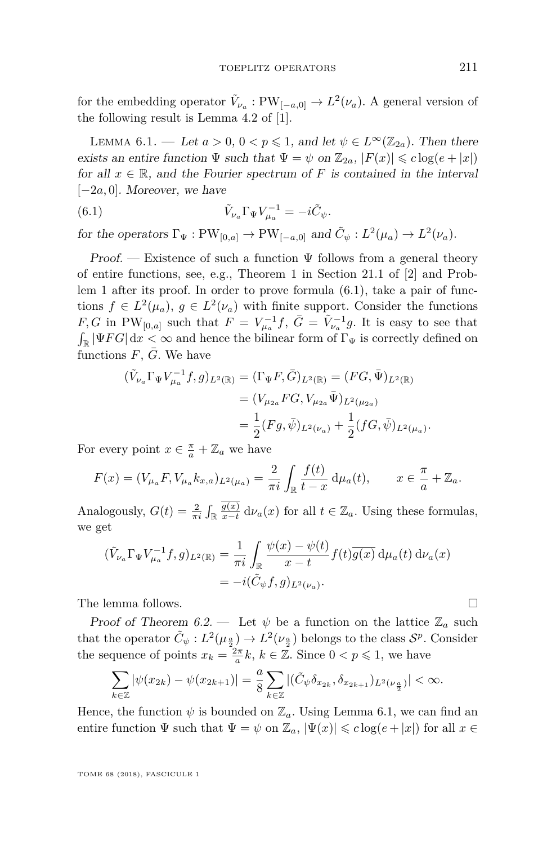for the embedding operator  $\tilde{V}_{\nu_a} : PW_{[-a,0]} \to L^2(\nu_a)$ . A general version of the following result is Lemma 4.2 of [\[1\]](#page-20-0).

<span id="page-17-1"></span>LEMMA 6.1. — Let  $a > 0$ ,  $0 < p \leq 1$ , and let  $\psi \in L^{\infty}(\mathbb{Z}_{2a})$ . Then there exists an entire function  $\Psi$  such that  $\Psi = \psi$  on  $\mathbb{Z}_{2a}$ ,  $|F(x)| \leq c \log(e+|x|)$ for all  $x \in \mathbb{R}$ , and the Fourier spectrum of F is contained in the interval [−2*a,* 0]. Moreover, we have

<span id="page-17-0"></span>(6.1) 
$$
\tilde{V}_{\nu_a} \Gamma_{\Psi} V_{\mu_a}^{-1} = -i \tilde{C}_{\psi}.
$$

for the operators  $\Gamma_{\Psi} : PW_{[0,a]} \to PW_{[-a,0]}$  and  $\tilde{C}_{\psi} : L^2(\mu_a) \to L^2(\nu_a)$ .

Proof. — Existence of such a function  $\Psi$  follows from a general theory of entire functions, see, e.g., Theorem 1 in Section 21.1 of [\[2\]](#page-21-10) and Problem 1 after its proof. In order to prove formula [\(6.1\)](#page-17-0), take a pair of functions  $f \in L^2(\mu_a)$ ,  $g \in L^2(\nu_a)$  with finite support. Consider the functions *F*, *G* in PW<sub>[0,a]</sub> such that  $F = V_{\mu_a}^{-1}f$ ,  $\bar{G} = \tilde{V}_{\nu_a}^{-1}g$ . It is easy to see that  $\int_{\mathbb{R}} |\Psi FG| dx < \infty$  and hence the bilinear form of  $\Gamma_{\Psi}$  is correctly defined on functions  $F$ ,  $G$ . We have

$$
\begin{aligned} (\tilde{V}_{\nu_a}\Gamma_{\Psi}V_{\mu_a}^{-1}f,g)_{L^2(\mathbb{R})} &= (\Gamma_{\Psi}F,\bar{G})_{L^2(\mathbb{R})} = (FG,\bar{\Psi})_{L^2(\mathbb{R})} \\ &= (V_{\mu_{2a}}FG,V_{\mu_{2a}}\bar{\Psi})_{L^2(\mu_{2a})} \\ &= \frac{1}{2}(Fg,\bar{\psi})_{L^2(\nu_a)} + \frac{1}{2}(fG,\bar{\psi})_{L^2(\mu_a)}. \end{aligned}
$$

For every point  $x \in \frac{\pi}{a} + \mathbb{Z}_a$  we have

$$
F(x) = (V_{\mu_a} F, V_{\mu_a} k_{x,a})_{L^2(\mu_a)} = \frac{2}{\pi i} \int_{\mathbb{R}} \frac{f(t)}{t - x} d\mu_a(t), \qquad x \in \frac{\pi}{a} + \mathbb{Z}_a.
$$

Analogously,  $G(t) = \frac{2}{\pi i} \int_{\mathbb{R}} \frac{g(x)}{x - t}$  $\frac{g(x)}{x-t} d\nu_a(x)$  for all  $t \in \mathbb{Z}_a$ . Using these formulas, we get

$$
\begin{aligned} (\tilde{V}_{\nu_a} \Gamma_{\Psi} V_{\mu_a}^{-1} f, g)_{L^2(\mathbb{R})} &= \frac{1}{\pi i} \int_{\mathbb{R}} \frac{\psi(x) - \psi(t)}{x - t} f(t) \overline{g(x)} \, \mathrm{d}\mu_a(t) \, \mathrm{d}\nu_a(x) \\ &= -i(\tilde{C}_{\psi} f, g)_{L^2(\nu_a)}. \end{aligned}
$$

The lemma follows.  $\Box$ 

Proof of Theorem [6.2.](#page-16-0) — Let  $\psi$  be a function on the lattice  $\mathbb{Z}_a$  such that the operator  $\tilde{C}_{\psi}: L^2(\mu_{\frac{\alpha}{2}}) \to L^2(\nu_{\frac{\alpha}{2}})$  belongs to the class  $S^p$ . Consider the sequence of points  $x_k = \frac{2\pi}{a}k$ ,  $k \in \mathbb{Z}$ . Since  $0 < p \leq 1$ , we have

$$
\sum_{k\in\mathbb{Z}}|\psi(x_{2k})-\psi(x_{2k+1})|=\frac{a}{8}\sum_{k\in\mathbb{Z}}|(\tilde{C}_{\psi}\delta_{x_{2k}},\delta_{x_{2k+1}})_{L^2(\nu_{\frac{a}{2}})}|<\infty.
$$

Hence, the function  $\psi$  is bounded on  $\mathbb{Z}_a$ . Using Lemma [6.1,](#page-17-1) we can find an entire function  $\Psi$  such that  $\Psi = \psi$  on  $\mathbb{Z}_a$ ,  $|\Psi(x)| \leqslant c \log(e+|x|)$  for all  $x \in$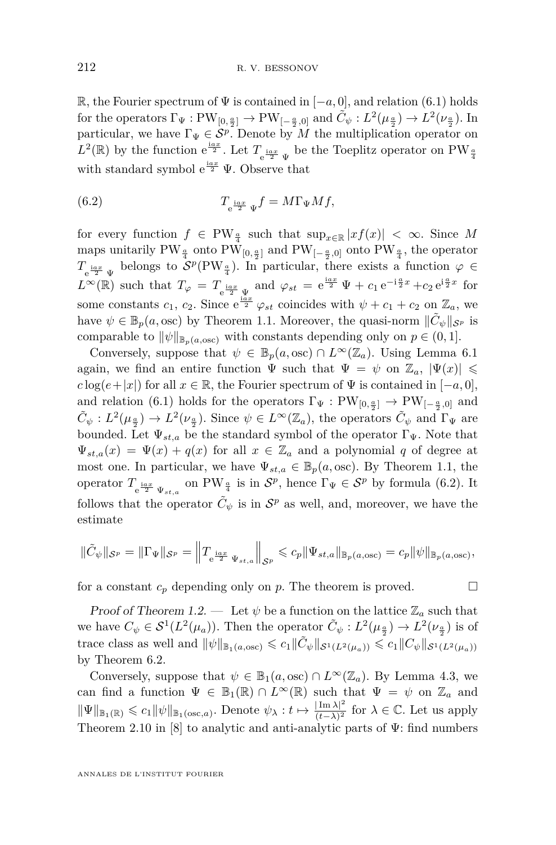R, the Fourier spectrum of Ψ is contained in [−*a,* 0], and relation [\(6.1\)](#page-17-0) holds for the operators  $\Gamma_{\Psi}: PW_{[0, \frac{a}{2}]} \to PW_{[-\frac{a}{2}, 0]}$  and  $\tilde{C}_{\psi}: L^2(\mu_{\frac{a}{2}}) \to L^2(\nu_{\frac{a}{2}})$ . In particular, we have  $\Gamma_{\Psi} \in \mathcal{S}^p$ . Denote by *M* the multiplication operator on  $L^2(\mathbb{R})$  by the function  $e^{\frac{iax}{2}}$ . Let  $T_{e^{\frac{iax}{2}}\Psi}$  be the Toeplitz operator on PW<sub><sup>4</sup></sub> with standard symbol  $e^{\frac{iax}{2}}$  Ψ. Observe that

<span id="page-18-0"></span>(6.2) 
$$
T_{\frac{\text{i}ax}{2}\Psi}f = M\Gamma_{\Psi}Mf,
$$

for every function  $f \in PW_{\frac{a}{4}}$  such that  $\sup_{x \in \mathbb{R}} |xf(x)| < \infty$ . Since M maps unitarily PW<sub> $\frac{a}{4}$ </sub> onto PW<sub>[0, $\frac{a}{2}$ ] and PW<sub>[− $\frac{a}{2}$ ,0] onto PW<sub> $\frac{a}{4}$ </sub>, the operator</sub></sub>  $T_{\frac{\text{i}ax}{2}\Psi}$  belongs to  $\mathcal{S}^p(\text{PW}_{\frac{\alpha}{4}})$ . In particular, there exists a function  $\varphi \in$  $L^{\infty}(\mathbb{R})$  such that  $T_{\varphi} = T_{e^{i\alpha x}\over 2} \Psi$  and  $\varphi_{st} = e^{i\alpha x}\Psi + c_1 e^{-i\frac{\alpha}{2}x} + c_2 e^{i\frac{\alpha}{2}x}$  for some constants  $c_1$ ,  $c_2$ . Since  $e^{\frac{iax}{2}} \varphi_{st}$  coincides with  $\psi + c_1 + c_2$  on  $\mathbb{Z}_a$ , we have  $\psi \in \mathbb{B}_p(a, \text{osc})$  by Theorem [1.1.](#page-2-0) Moreover, the quasi-norm  $\|\tilde{C}_{\psi}\|_{S^p}$  is comparable to  $\|\psi\|_{\mathbb{B}_p(a,\text{osc})}$  with constants depending only on  $p \in (0,1]$ .

Conversely, suppose that  $\psi \in \mathbb{B}_p(a,\text{osc}) \cap L^{\infty}(\mathbb{Z}_a)$ . Using Lemma [6.1](#page-17-1) again, we find an entire function  $\Psi$  such that  $\Psi = \psi$  on  $\mathbb{Z}_a$ ,  $|\Psi(x)| \leq$  $c \log(e+|x|)$  for all  $x \in \mathbb{R}$ , the Fourier spectrum of  $\Psi$  is contained in  $[-a, 0]$ , and relation [\(6.1\)](#page-17-0) holds for the operators  $\Gamma_{\Psi} : PW_{[0, \frac{a}{2}]} \to PW_{[-\frac{a}{2}, 0]}$  and  $\tilde{C}_{\psi}: L^2(\mu_{\frac{a}{2}}) \to L^2(\nu_{\frac{a}{2}})$ . Since  $\psi \in L^{\infty}(\mathbb{Z}_a)$ , the operators  $\tilde{C}_{\psi}$  and  $\Gamma_{\Psi}$  are bounded. Let  $\Psi_{st,a}$  be the standard symbol of the operator  $\Gamma_{\Psi}$ . Note that  $\Psi_{st,a}(x) = \Psi(x) + q(x)$  for all  $x \in \mathbb{Z}_a$  and a polynomial *q* of degree at most one. In particular, we have  $\Psi_{st,a} \in \mathbb{B}_p(a,\text{osc})$ . By Theorem [1.1,](#page-2-0) the operator  $T_{e^{\frac{iax}{2}}\Psi_{st,a}}$  on PW<sub> $\frac{a}{4}$ </sub> is in  $\mathcal{S}^p$ , hence  $\Gamma_{\Psi} \in \mathcal{S}^p$  by formula [\(6.2\)](#page-18-0). It follows that the operator  $\tilde{C}_{\psi}$  is in  $S^p$  as well, and, moreover, we have the estimate

$$
\|\tilde{C}_{\psi}\|_{S^p} = \|\Gamma_{\Psi}\|_{S^p} = \left\|T_{\frac{\text{i}az}{2}\Psi_{st,a}}\right\|_{S^p} \leqslant c_p \|\Psi_{st,a}\|_{\mathbb{B}_p(a,\text{osc})} = c_p \|\psi\|_{\mathbb{B}_p(a,\text{osc})},
$$

for a constant  $c_p$  depending only on  $p$ . The theorem is proved.  $\Box$ 

Proof of Theorem [1.2.](#page-3-0) — Let  $\psi$  be a function on the lattice  $\mathbb{Z}_a$  such that we have  $C_{\psi} \in S^1(L^2(\mu_a))$ . Then the operator  $\tilde{C}_{\psi}: L^2(\mu_{\frac{\alpha}{2}}) \to L^2(\nu_{\frac{\alpha}{2}})$  is of  $\text{trace class as well and } ||\psi||_{\mathbb{B}_1(a,\text{osc})} \leqslant c_1 \|\tilde{C}_{\psi}\|_{\mathcal{S}^1(L^2(\mu_a))} \leqslant c_1 \|C_{\psi}\|_{\mathcal{S}^1(L^2(\mu_a))}$ by Theorem [6.2.](#page-16-0)

Conversely, suppose that  $\psi \in \mathbb{B}_1(a, \text{osc}) \cap L^{\infty}(\mathbb{Z}_a)$ . By Lemma [4.3,](#page-12-0) we can find a function  $\Psi \in \mathbb{B}_1(\mathbb{R}) \cap L^\infty(\mathbb{R})$  such that  $\Psi = \psi$  on  $\mathbb{Z}_a$  and  $\|\Psi\|_{\mathbb{B}_1(\mathbb{R})} \leqslant c_1 \|\psi\|_{\mathbb{B}_1(\text{osc},a)}$ . Denote  $\psi_{\lambda}: t \mapsto \frac{|\text{Im }\lambda|^2}{(t-\bar{\lambda})^2}$  $\frac{|\operatorname{Im }\lambda|^2}{(t-\bar\lambda)^2}$  for  $\lambda \in \mathbb{C}$ . Let us apply Theorem 2.10 in [\[8\]](#page-21-6) to analytic and anti-analytic parts of  $\Psi$ : find numbers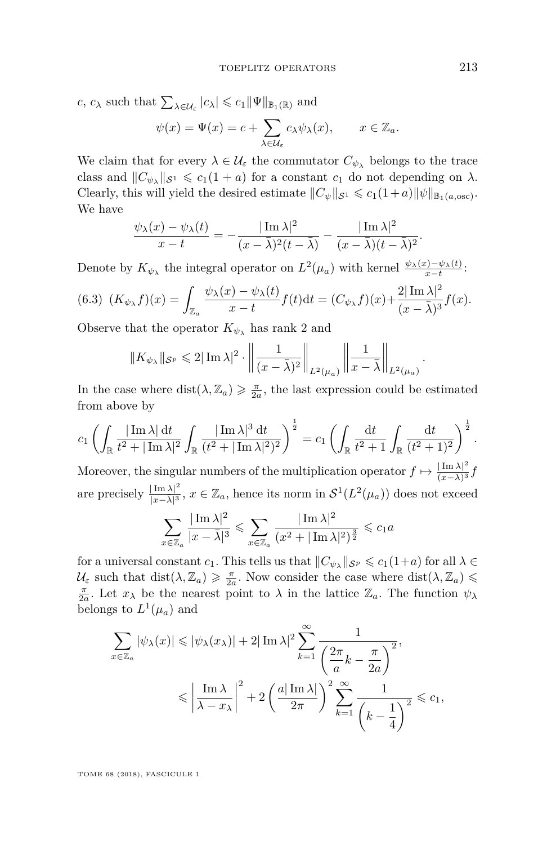*c*, *c*<sub>*λ*</sub> such that  $\sum_{\lambda \in \mathcal{U}_{\varepsilon}} |c_{\lambda}| \leqslant c_1 \|\Psi\|_{\mathbb{B}_1(\mathbb{R})}$  and  $\psi(x) = \Psi(x) = c + \sum$ *λ*∈U*<sup>ε</sup>*  $c_{\lambda}\psi_{\lambda}(x), \qquad x \in \mathbb{Z}_a.$ 

We claim that for every  $\lambda \in \mathcal{U}_{\varepsilon}$  the commutator  $C_{\psi_{\lambda}}$  belongs to the trace class and  $||C_{\psi_{\lambda}}||_{\mathcal{S}^1} \leq c_1(1 + a)$  for a constant  $c_1$  do not depending on  $\lambda$ . Clearly, this will yield the desired estimate  $\|C_{\psi}\|_{\mathcal{S}^1} \leq c_1(1+a)\|\psi\|_{\mathbb{B}_1(a,\text{osc})}.$ We have

$$
\frac{\psi_{\lambda}(x) - \psi_{\lambda}(t)}{x - t} = -\frac{|\operatorname{Im}\lambda|^2}{(x - \bar{\lambda})^2 (t - \bar{\lambda})} - \frac{|\operatorname{Im}\lambda|^2}{(x - \bar{\lambda})(t - \bar{\lambda})^2}.
$$

Denote by  $K_{\psi_{\lambda}}$  the integral operator on  $L^2(\mu_a)$  with kernel  $\frac{\psi_{\lambda}(x)-\psi_{\lambda}(t)}{x-t}$ :

<span id="page-19-0"></span>
$$
(6.3)\ \ (K_{\psi_{\lambda}}f)(x) = \int_{\mathbb{Z}_a} \frac{\psi_{\lambda}(x) - \psi_{\lambda}(t)}{x - t} f(t) \mathrm{d}t = (C_{\psi_{\lambda}}f)(x) + \frac{2|\operatorname{Im}\lambda|^2}{(x - \overline{\lambda})^3} f(x).
$$

Observe that the operator  $K_{\psi_{\lambda}}$  has rank 2 and

$$
||K_{\psi_{\lambda}}||_{\mathcal{S}^p} \leqslant 2|\operatorname{Im}\lambda|^2 \cdot \left\|\frac{1}{(x-\bar{\lambda})^2}\right\|_{L^2(\mu_a)} \left\|\frac{1}{x-\bar{\lambda}}\right\|_{L^2(\mu_a)}
$$

In the case where  $dist(\lambda, \mathbb{Z}_a) \geq \frac{\pi}{2a}$ , the last expression could be estimated from above by

$$
c_1 \left( \int_{\mathbb{R}} \frac{|\operatorname{Im} \lambda| \, \mathrm{d}t}{t^2 + |\operatorname{Im} \lambda|^2} \int_{\mathbb{R}} \frac{|\operatorname{Im} \lambda|^3 \, \mathrm{d}t}{(t^2 + |\operatorname{Im} \lambda|^2)^2} \right)^{\frac{1}{2}} = c_1 \left( \int_{\mathbb{R}} \frac{\mathrm{d}t}{t^2 + 1} \int_{\mathbb{R}} \frac{\mathrm{d}t}{(t^2 + 1)^2} \right)^{\frac{1}{2}}.
$$

Moreover, the singular numbers of the multiplication operator  $f \mapsto \frac{|\text{Im }\lambda|^2}{(x-1)^3}$  $\frac{|Im \lambda|}{(x-\bar{\lambda})^3}f$ are precisely  $\frac{|\operatorname{Im} \lambda|^2}{|x-\bar{\lambda}|^3}$  $\frac{|\text{Im }\lambda|^2}{|x-\lambda|^3}$ ,  $x \in \mathbb{Z}_a$ , hence its norm in  $\mathcal{S}^1(L^2(\mu_a))$  does not exceed

$$
\sum_{x \in \mathbb{Z}_a} \frac{|\operatorname{Im} \lambda|^2}{|x - \bar{\lambda}|^3} \leqslant \sum_{x \in \mathbb{Z}_a} \frac{|\operatorname{Im} \lambda|^2}{(x^2 + |\operatorname{Im} \lambda|^2)^{\frac{3}{2}}} \leqslant c_1 a
$$

for a universal constant  $c_1$ . This tells us that  $||C_{\psi_{\lambda}}||_{S^p} \leqslant c_1(1+a)$  for all  $\lambda \in$  $\mathcal{U}_{\varepsilon}$  such that  $dist(\lambda, \mathbb{Z}_{a}) \geq \frac{\pi}{2a}$ . Now consider the case where  $dist(\lambda, \mathbb{Z}_{a}) \leq$ *π*<sub>2*a*</sub>. Let *x*<sub>*λ*</sub> be the nearest point to *λ* in the lattice  $\mathbb{Z}_a$ . The function  $\psi_\lambda$ belongs to  $L^1(\mu_a)$  and

$$
\sum_{x \in \mathbb{Z}_a} |\psi_\lambda(x)| \le |\psi_\lambda(x_\lambda)| + 2|\operatorname{Im}\lambda|^2 \sum_{k=1}^\infty \frac{1}{\left(\frac{2\pi}{a}k - \frac{\pi}{2a}\right)^2},
$$
  

$$
\le \left|\frac{\operatorname{Im}\lambda}{\lambda - x_\lambda}\right|^2 + 2\left(\frac{a|\operatorname{Im}\lambda|}{2\pi}\right)^2 \sum_{k=1}^\infty \frac{1}{\left(k - \frac{1}{4}\right)^2} \le c_1,
$$

TOME 68 (2018), FASCICULE 1

*.*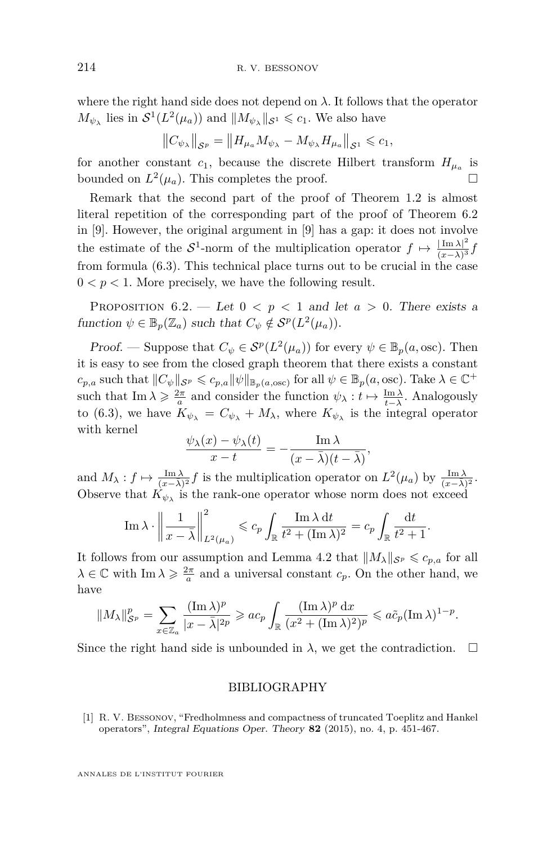where the right hand side does not depend on  $\lambda$ . It follows that the operator  $M_{\psi_{\lambda}}$  lies in  $S^1(L^2(\mu_a))$  and  $||M_{\psi_{\lambda}}||_{S^1} \leqslant c_1$ . We also have

$$
||C_{\psi_{\lambda}}||_{\mathcal{S}^p} = ||H_{\mu_a} M_{\psi_{\lambda}} - M_{\psi_{\lambda}} H_{\mu_a}||_{\mathcal{S}^1} \leqslant c_1,
$$

for another constant  $c_1$ , because the discrete Hilbert transform  $H_{\mu_a}$  is bounded on  $L^2(\mu_a)$ . This completes the proof.

Remark that the second part of the proof of Theorem [1.2](#page-3-0) is almost literal repetition of the corresponding part of the proof of Theorem 6.2 in [\[9\]](#page-21-0). However, the original argument in [\[9\]](#page-21-0) has a gap: it does not involve the estimate of the  $S^1$ -norm of the multiplication operator  $f \mapsto \frac{|\text{Im }\lambda|^2}{(x-1)^3}$  $\frac{|{\rm Im} A|}{(x-\bar{\lambda})^3}f$ from formula [\(6.3\)](#page-19-0). This technical place turns out to be crucial in the case  $0 < p < 1$ . More precisely, we have the following result.

PROPOSITION  $6.2.$  - Let  $0 < p < 1$  and let  $a > 0$ . There exists a function  $\psi \in \mathbb{B}_p(\mathbb{Z}_a)$  such that  $C_{\psi} \notin \mathcal{S}^p(L^2(\mu_a)).$ 

Proof. — Suppose that  $C_{\psi} \in \mathcal{S}^p(L^2(\mu_a))$  for every  $\psi \in \mathbb{B}_p(a,\text{osc})$ . Then it is easy to see from the closed graph theorem that there exists a constant  $c_{p,a}$  such that  $||C_{\psi}||_{S^p} \leqslant c_{p,a} ||\psi||_{\mathbb{B}_p(a,\text{osc})}$  for all  $\psi \in \mathbb{B}_p(a,\text{osc})$ . Take  $\lambda \in \mathbb{C}^+$ such that  $\text{Im }\lambda \geqslant \frac{2\pi}{a}$  and consider the function  $\psi_{\lambda}: t \mapsto \frac{\text{Im }\lambda}{t-\lambda}$ . Analogously to [\(6.3\)](#page-19-0), we have  $K_{\psi_{\lambda}} = C_{\psi_{\lambda}} + M_{\lambda}$ , where  $K_{\psi_{\lambda}}$  is the integral operator with kernel

$$
\frac{\psi_{\lambda}(x)-\psi_{\lambda}(t)}{x-t}=-\frac{\operatorname{Im}\lambda}{(x-\bar{\lambda})(t-\bar{\lambda})},
$$

and  $M_{\lambda}: f \mapsto \frac{\text{Im }\lambda}{(x-\lambda)^2} f$  is the multiplication operator on  $L^2(\mu_a)$  by  $\frac{\text{Im }\lambda}{(x-\lambda)^2}$ . Observe that  $K_{\psi_{\lambda}}$  is the rank-one operator whose norm does not exceed

$$
\operatorname{Im} \lambda \cdot \left\| \frac{1}{x - \bar{\lambda}} \right\|_{L^2(\mu_a)}^2 \leqslant c_p \int_{\mathbb{R}} \frac{\operatorname{Im} \lambda \, \mathrm{d}t}{t^2 + (\operatorname{Im} \lambda)^2} = c_p \int_{\mathbb{R}} \frac{\mathrm{d}t}{t^2 + 1}.
$$

It follows from our assumption and Lemma [4.2](#page-9-1) that  $||M_\lambda||_{\mathcal{S}^p} \leq c_{p,a}$  for all  $\lambda \in \mathbb{C}$  with  $\text{Im }\lambda \geqslant \frac{2\pi}{a}$  and a universal constant  $c_p$ . On the other hand, we have

$$
||M_{\lambda}||_{\mathcal{S}^p}^p = \sum_{x \in \mathbb{Z}_a} \frac{(\operatorname{Im} \lambda)^p}{|x - \bar{\lambda}|^{2p}} \geqslant ac_p \int_{\mathbb{R}} \frac{(\operatorname{Im} \lambda)^p dx}{(x^2 + (\operatorname{Im} \lambda)^2)^p} \leqslant a\tilde{c}_p (\operatorname{Im} \lambda)^{1-p}.
$$

Since the right hand side is unbounded in  $\lambda$ , we get the contradiction.  $\Box$ 

#### BIBLIOGRAPHY

<span id="page-20-0"></span>[1] R. V. Bessonov, "Fredholmness and compactness of truncated Toeplitz and Hankel operators", Integral Equations Oper. Theory **82** (2015), no. 4, p. 451-467.